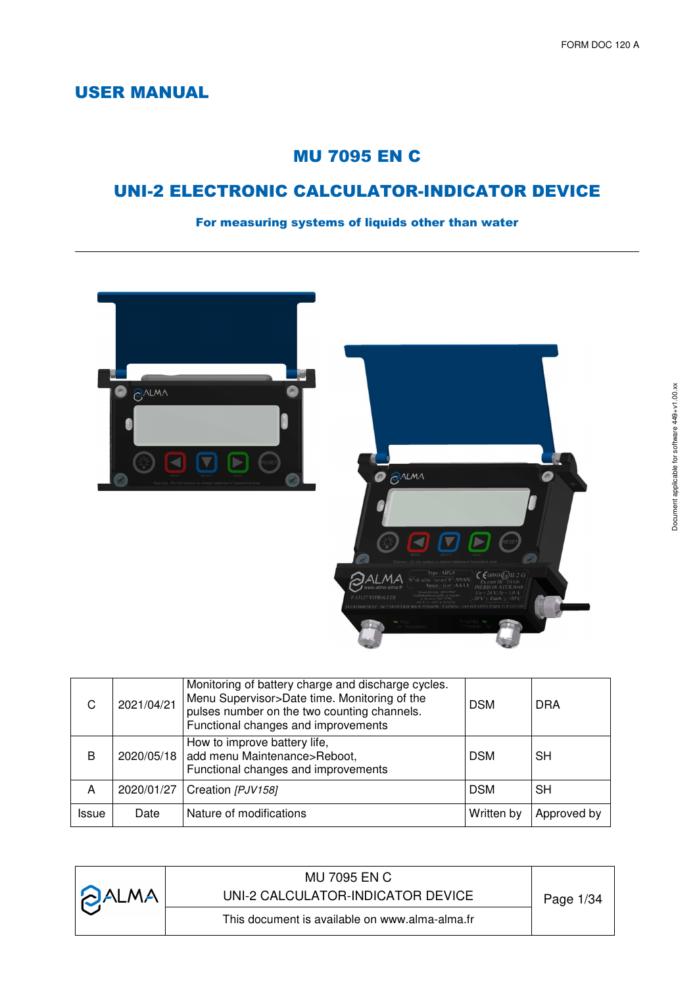## USER MANUAL

# MU 7095 EN C

## UNI-2 ELECTRONIC CALCULATOR-INDICATOR DEVICE

For measuring systems of liquids other than water



| C            | 2021/04/21 | Monitoring of battery charge and discharge cycles.<br>Menu Supervisor>Date time. Monitoring of the<br>pulses number on the two counting channels.<br>Functional changes and improvements | <b>DSM</b> | <b>DRA</b>  |
|--------------|------------|------------------------------------------------------------------------------------------------------------------------------------------------------------------------------------------|------------|-------------|
| B            |            | How to improve battery life,<br>2020/05/18 add menu Maintenance>Reboot,<br>Functional changes and improvements                                                                           | <b>DSM</b> | SH          |
| A            | 2020/01/27 | Creation [PJV158]                                                                                                                                                                        | <b>DSM</b> | <b>SH</b>   |
| <b>Issue</b> | Date       | Nature of modifications                                                                                                                                                                  | Written by | Approved by |

| <b>DALMA</b> | MU 7095 EN C<br>UNI-2 CALCULATOR-INDICATOR DEVICE | Page 1/34 |
|--------------|---------------------------------------------------|-----------|
|              | This document is available on www.alma-alma.fr    |           |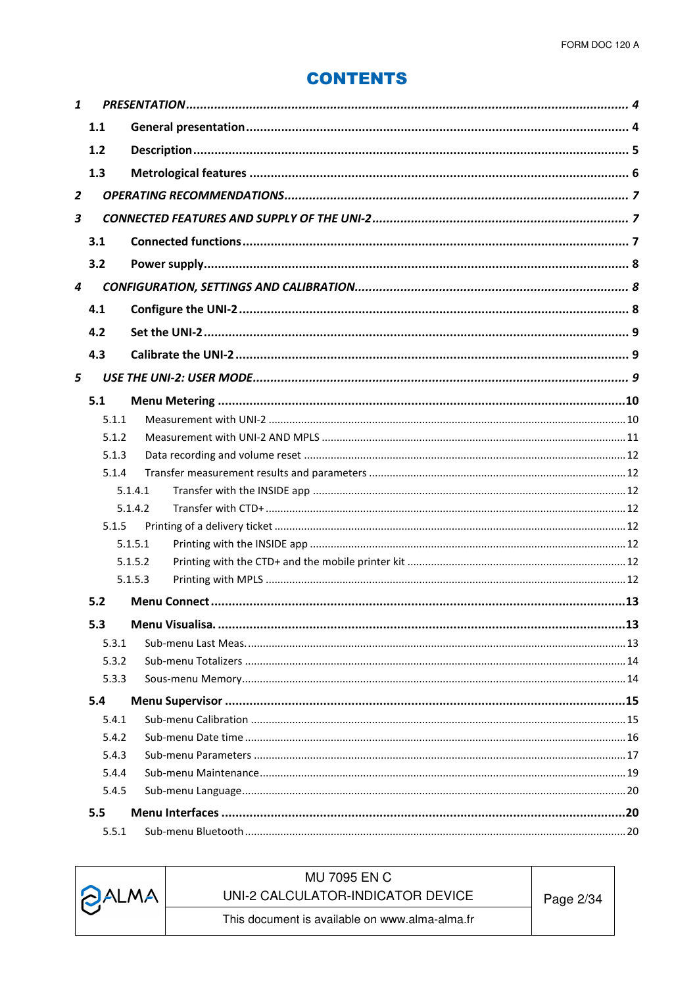# **CONTENTS**

| $\mathbf{1}$     |       |         |  |
|------------------|-------|---------|--|
|                  | 1.1   |         |  |
|                  | 1.2   |         |  |
|                  | 1.3   |         |  |
| $\overline{2}$   |       |         |  |
| 3                |       |         |  |
|                  | 3.1   |         |  |
|                  |       |         |  |
|                  | 3.2   |         |  |
| $\boldsymbol{4}$ |       |         |  |
|                  | 4.1   |         |  |
|                  | 4.2   |         |  |
|                  | 4.3   |         |  |
| 5                |       |         |  |
|                  | 5.1   |         |  |
|                  | 5.1.1 |         |  |
|                  | 5.1.2 |         |  |
|                  | 5.1.3 |         |  |
|                  | 5.1.4 |         |  |
|                  |       | 5.1.4.1 |  |
|                  |       | 5.1.4.2 |  |
|                  | 5.1.5 |         |  |
|                  |       | 5.1.5.1 |  |
|                  |       | 5.1.5.2 |  |
|                  |       | 5.1.5.3 |  |
|                  | 5.2   |         |  |
|                  | 5.3   |         |  |
|                  | 5.3.1 |         |  |
|                  | 5.3.2 |         |  |
|                  | 5.3.3 |         |  |
|                  | 5.4   |         |  |
|                  | 5.4.1 |         |  |
|                  | 5.4.2 |         |  |
|                  | 5.4.3 |         |  |
|                  | 5.4.4 |         |  |
|                  | 5.4.5 |         |  |
|                  | 5.5   |         |  |
|                  | 5.5.1 |         |  |

| <b>DALMA</b> | MU 7095 EN C<br>UNI-2 CALCULATOR-INDICATOR DEVICE | Page 2/34 |  |
|--------------|---------------------------------------------------|-----------|--|
|              | This document is available on www.alma-alma.fr    |           |  |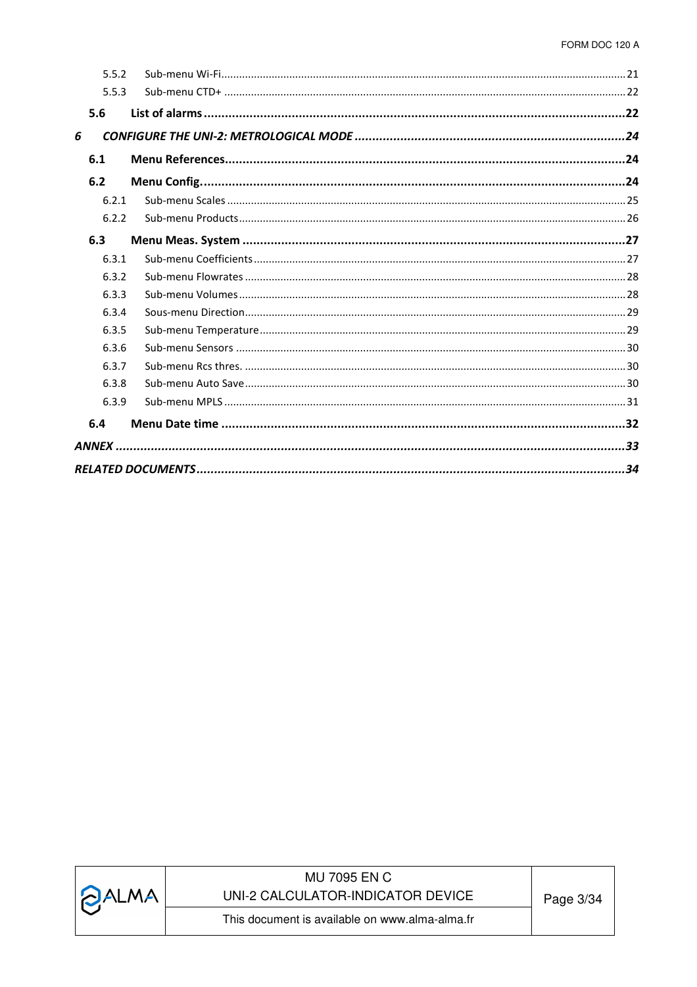| 5.5.2 |  |
|-------|--|
| 5.5.3 |  |
| 5.6   |  |
| 6     |  |
| 6.1   |  |
| 6.2   |  |
| 6.2.1 |  |
| 6.2.2 |  |
| 6.3   |  |
| 6.3.1 |  |
| 6.3.2 |  |
| 6.3.3 |  |
| 6.3.4 |  |
| 6.3.5 |  |
| 6.3.6 |  |
| 6.3.7 |  |
| 6.3.8 |  |
| 6.3.9 |  |
| 6.4   |  |
|       |  |
|       |  |

| <b>PALMA</b> | MU 7095 EN C<br>UNI-2 CALCULATOR-INDICATOR DEVICE | Page 3/34 |
|--------------|---------------------------------------------------|-----------|
|              | This document is available on www.alma-alma.fr    |           |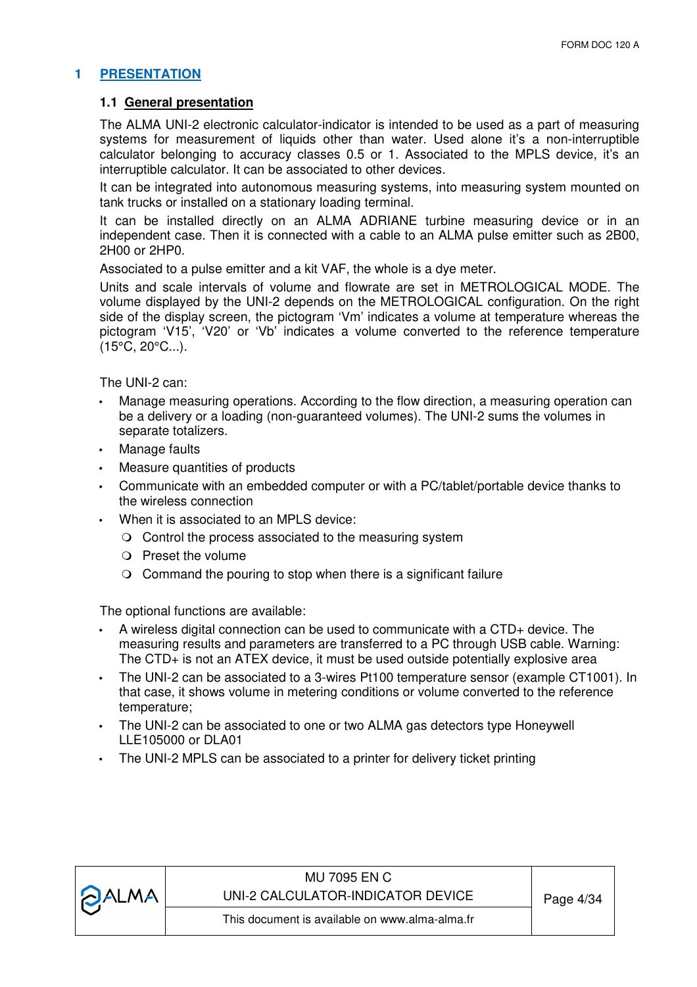## **1 PRESENTATION**

#### **1.1 General presentation**

The ALMA UNI-2 electronic calculator-indicator is intended to be used as a part of measuring systems for measurement of liquids other than water. Used alone it's a non-interruptible calculator belonging to accuracy classes 0.5 or 1. Associated to the MPLS device, it's an interruptible calculator. It can be associated to other devices.

It can be integrated into autonomous measuring systems, into measuring system mounted on tank trucks or installed on a stationary loading terminal.

It can be installed directly on an ALMA ADRIANE turbine measuring device or in an independent case. Then it is connected with a cable to an ALMA pulse emitter such as 2B00, 2H00 or 2HP0.

Associated to a pulse emitter and a kit VAF, the whole is a dye meter.

Units and scale intervals of volume and flowrate are set in METROLOGICAL MODE. The volume displayed by the UNI-2 depends on the METROLOGICAL configuration. On the right side of the display screen, the pictogram 'Vm' indicates a volume at temperature whereas the pictogram 'V15', 'V20' or 'Vb' indicates a volume converted to the reference temperature  $(15^{\circ}C, 20^{\circ}C...).$ 

The UNI-2 can:

- Manage measuring operations. According to the flow direction, a measuring operation can be a delivery or a loading (non-guaranteed volumes). The UNI-2 sums the volumes in separate totalizers.
- Manage faults
- Measure quantities of products
- Communicate with an embedded computer or with a PC/tablet/portable device thanks to the wireless connection
- When it is associated to an MPLS device:
	- O Control the process associated to the measuring system
	- $\bigcirc$  Preset the volume
	- $\circ$  Command the pouring to stop when there is a significant failure

The optional functions are available:

- A wireless digital connection can be used to communicate with a CTD+ device. The measuring results and parameters are transferred to a PC through USB cable. Warning: The CTD+ is not an ATEX device, it must be used outside potentially explosive area
- The UNI-2 can be associated to a 3-wires Pt100 temperature sensor (example CT1001). In that case, it shows volume in metering conditions or volume converted to the reference temperature;
- The UNI-2 can be associated to one or two ALMA gas detectors type Honeywell LLE105000 or DLA01
- The UNI-2 MPLS can be associated to a printer for delivery ticket printing



## MU 7095 EN C UNI-2 CALCULATOR-INDICATOR DEVICE | Page 4/34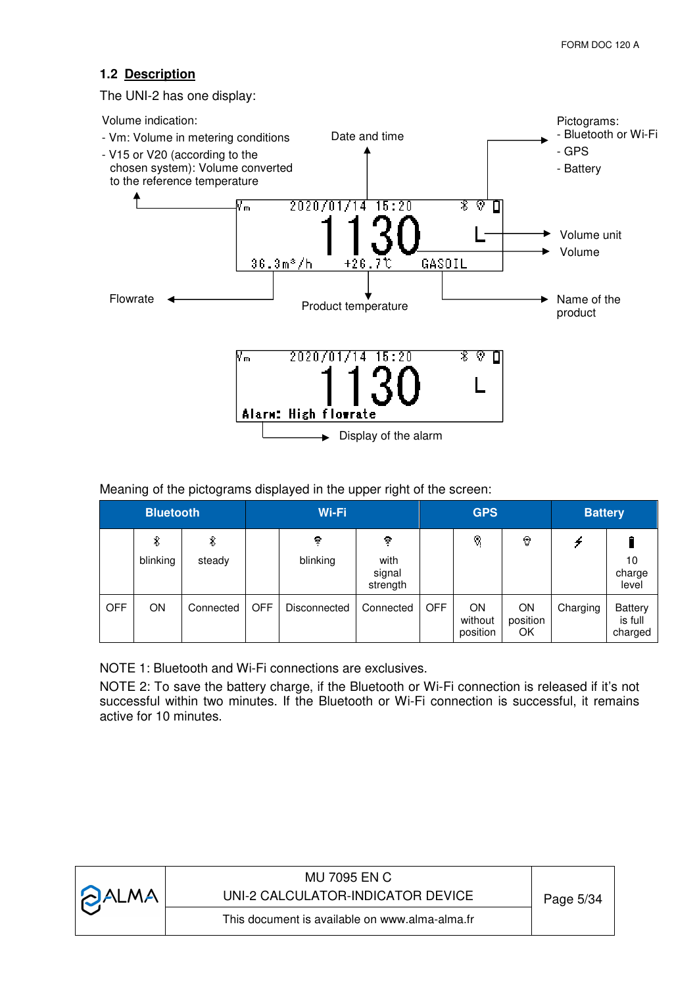## **1.2 Description**

The UNI-2 has one display:



Meaning of the pictograms displayed in the upper right of the screen:

| <b>Bluetooth</b> |               | Wi-Fi       |            |                     | <b>GPS</b>                      |            |                                  | <b>Battery</b>       |          |                                      |
|------------------|---------------|-------------|------------|---------------------|---------------------------------|------------|----------------------------------|----------------------|----------|--------------------------------------|
|                  | 8<br>blinking | 8<br>steady |            | ş<br>blinking       | 츟<br>with<br>signal<br>strength |            | q                                | 0                    |          | 10<br>charge<br>level                |
| <b>OFF</b>       | <b>ON</b>     | Connected   | <b>OFF</b> | <b>Disconnected</b> | Connected                       | <b>OFF</b> | <b>ON</b><br>without<br>position | ON<br>position<br>OK | Charging | <b>Battery</b><br>is full<br>charged |

NOTE 1: Bluetooth and Wi-Fi connections are exclusives.

NOTE 2: To save the battery charge, if the Bluetooth or Wi-Fi connection is released if it's not successful within two minutes. If the Bluetooth or Wi-Fi connection is successful, it remains active for 10 minutes.

| <b>PALMA</b> | MU 7095 EN C<br>UNI-2 CALCULATOR-INDICATOR DEVICE | Page 5/34 |
|--------------|---------------------------------------------------|-----------|
|              | This document is available on www.alma-alma.fr    |           |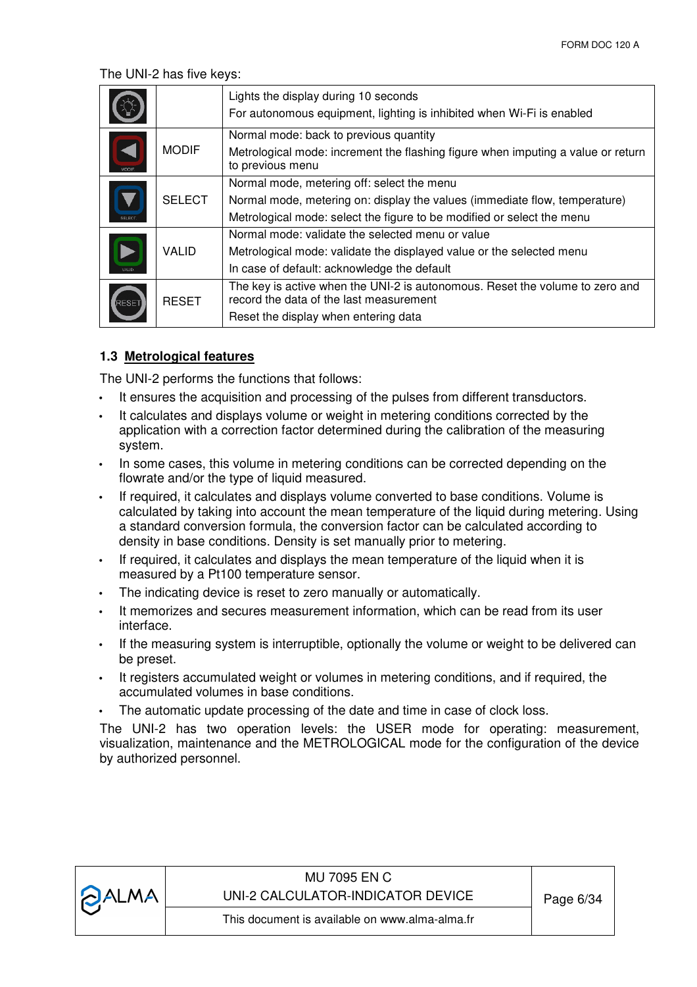The UNI-2 has five keys:

|               |               | Lights the display during 10 seconds<br>For autonomous equipment, lighting is inhibited when Wi-Fi is enabled                                                                                      |
|---------------|---------------|----------------------------------------------------------------------------------------------------------------------------------------------------------------------------------------------------|
| G<br>MODIF    | <b>MODIF</b>  | Normal mode: back to previous quantity<br>Metrological mode: increment the flashing figure when imputing a value or return<br>to previous menu                                                     |
| <b>SELECT</b> | <b>SELECT</b> | Normal mode, metering off: select the menu<br>Normal mode, metering on: display the values (immediate flow, temperature)<br>Metrological mode: select the figure to be modified or select the menu |
| VALID.        | <b>VALID</b>  | Normal mode: validate the selected menu or value<br>Metrological mode: validate the displayed value or the selected menu<br>In case of default: acknowledge the default                            |
| RESET         | <b>RESET</b>  | The key is active when the UNI-2 is autonomous. Reset the volume to zero and<br>record the data of the last measurement<br>Reset the display when entering data                                    |

## **1.3 Metrological features**

The UNI-2 performs the functions that follows:

- It ensures the acquisition and processing of the pulses from different transductors.
- It calculates and displays volume or weight in metering conditions corrected by the application with a correction factor determined during the calibration of the measuring system.
- In some cases, this volume in metering conditions can be corrected depending on the flowrate and/or the type of liquid measured.
- If required, it calculates and displays volume converted to base conditions. Volume is calculated by taking into account the mean temperature of the liquid during metering. Using a standard conversion formula, the conversion factor can be calculated according to density in base conditions. Density is set manually prior to metering.
- If required, it calculates and displays the mean temperature of the liquid when it is measured by a Pt100 temperature sensor.
- The indicating device is reset to zero manually or automatically.
- It memorizes and secures measurement information, which can be read from its user interface.
- If the measuring system is interruptible, optionally the volume or weight to be delivered can be preset.
- It registers accumulated weight or volumes in metering conditions, and if required, the accumulated volumes in base conditions.
- The automatic update processing of the date and time in case of clock loss.

The UNI-2 has two operation levels: the USER mode for operating: measurement, visualization, maintenance and the METROLOGICAL mode for the configuration of the device by authorized personnel.

| <b>PALMA</b> | MU 7095 EN C<br>UNI-2 CALCULATOR-INDICATOR DEVICE | Page 6/34 |
|--------------|---------------------------------------------------|-----------|
|              | This document is available on www.alma-alma.fr    |           |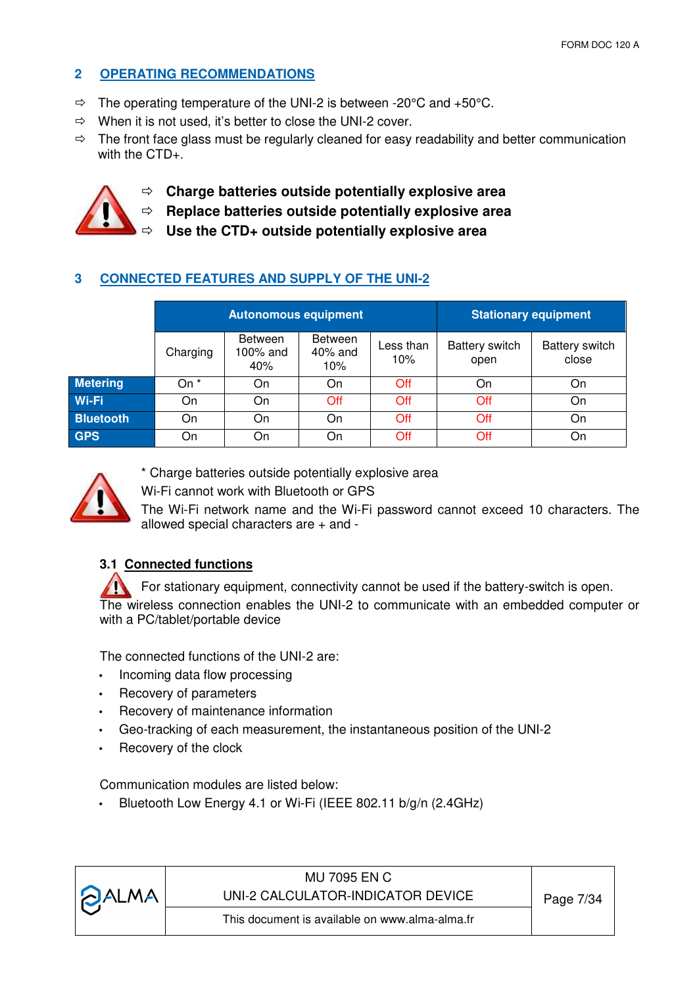## **2 OPERATING RECOMMENDATIONS**

- $\Rightarrow$  The operating temperature of the UNI-2 is between -20°C and +50°C.
- $\Rightarrow$  When it is not used, it's better to close the UNI-2 cover.
- $\Rightarrow$  The front face glass must be regularly cleaned for easy readability and better communication with the CTD<sub>+</sub>.



- $\Rightarrow$ **Charge batteries outside potentially explosive area**
- $\Rightarrow$ **Replace batteries outside potentially explosive area**
- $\Rightarrow$ **Use the CTD+ outside potentially explosive area**

## **3 CONNECTED FEATURES AND SUPPLY OF THE UNI-2**

|                  | <b>Autonomous equipment</b> |                            |                                     |                  | <b>Stationary equipment</b>   |                                |  |
|------------------|-----------------------------|----------------------------|-------------------------------------|------------------|-------------------------------|--------------------------------|--|
|                  | Charging                    | Between<br>100% and<br>40% | <b>Between</b><br>40% and<br>$10\%$ | Less than<br>10% | <b>Battery switch</b><br>open | <b>Battery switch</b><br>close |  |
| <b>Metering</b>  | On *                        | On                         | On                                  | Off              | On                            | On                             |  |
| Wi-Fi            | On                          | On                         | Off                                 | Off              | Off                           | On                             |  |
| <b>Bluetooth</b> | On                          | On                         | On                                  | Off              | Off                           | On                             |  |
| <b>GPS</b>       | On                          | On                         | On                                  | Off              | Off                           | On                             |  |



\* Charge batteries outside potentially explosive area

Wi-Fi cannot work with Bluetooth or GPS

The Wi-Fi network name and the Wi-Fi password cannot exceed 10 characters. The allowed special characters are + and -

## **3.1 Connected functions**

For stationary equipment, connectivity cannot be used if the battery-switch is open. The wireless connection enables the UNI-2 to communicate with an embedded computer or with a PC/tablet/portable device

The connected functions of the UNI-2 are:

- Incoming data flow processing
- Recovery of parameters
- Recovery of maintenance information
- Geo-tracking of each measurement, the instantaneous position of the UNI-2
- Recovery of the clock

Communication modules are listed below:

• Bluetooth Low Energy 4.1 or Wi-Fi (IEEE 802.11 b/g/n (2.4GHz)

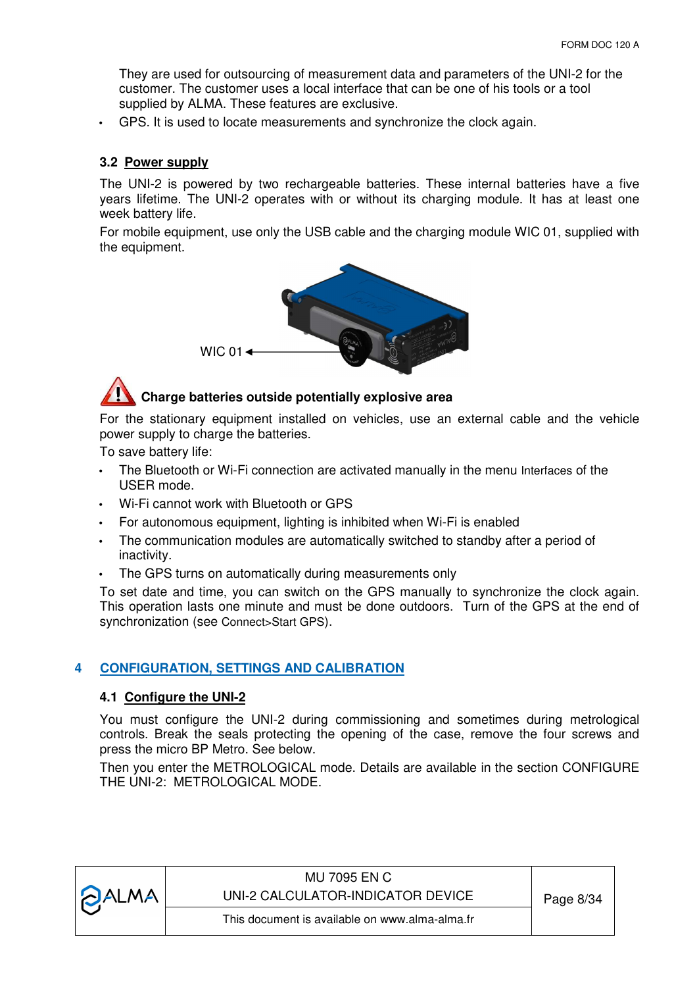They are used for outsourcing of measurement data and parameters of the UNI-2 for the customer. The customer uses a local interface that can be one of his tools or a tool supplied by ALMA. These features are exclusive.

• GPS. It is used to locate measurements and synchronize the clock again.

#### **3.2 Power supply**

The UNI-2 is powered by two rechargeable batteries. These internal batteries have a five years lifetime. The UNI-2 operates with or without its charging module. It has at least one week battery life.

For mobile equipment, use only the USB cable and the charging module WIC 01, supplied with the equipment.



# **Charge batteries outside potentially explosive area**

For the stationary equipment installed on vehicles, use an external cable and the vehicle power supply to charge the batteries.

To save battery life:

- The Bluetooth or Wi-Fi connection are activated manually in the menu Interfaces of the USER mode.
- Wi-Fi cannot work with Bluetooth or GPS
- For autonomous equipment, lighting is inhibited when Wi-Fi is enabled
- The communication modules are automatically switched to standby after a period of inactivity.
- The GPS turns on automatically during measurements only

To set date and time, you can switch on the GPS manually to synchronize the clock again. This operation lasts one minute and must be done outdoors. Turn of the GPS at the end of synchronization (see Connect>Start GPS).

#### **4 CONFIGURATION, SETTINGS AND CALIBRATION**

#### **4.1 Configure the UNI-2**

You must configure the UNI-2 during commissioning and sometimes during metrological controls. Break the seals protecting the opening of the case, remove the four screws and press the micro BP Metro. See below.

Then you enter the METROLOGICAL mode. Details are available in the section CONFIGURE THE UNI-2: METROLOGICAL MODE.

|              | MU 7095 EN C                                   |           |
|--------------|------------------------------------------------|-----------|
| <b>DALMA</b> | UNI-2 CALCULATOR-INDICATOR DEVICE              | Page 8/34 |
|              | This document is available on www.alma-alma.fr |           |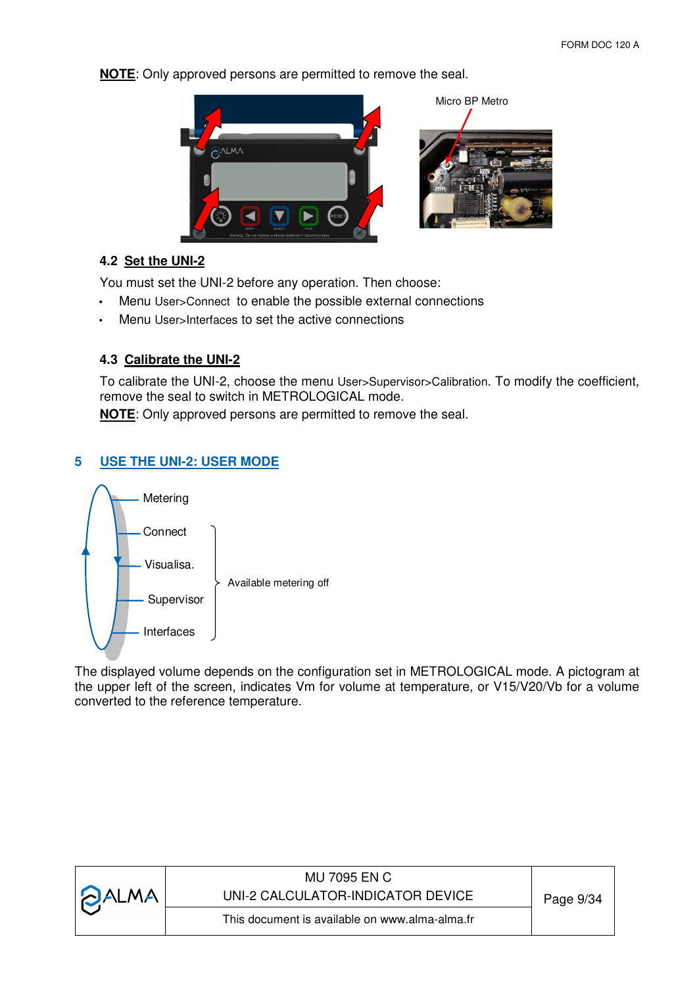**NOTE**: Only approved persons are permitted to remove the seal.



## **4.2 Set the UNI-2**

You must set the UNI-2 before any operation. Then choose:

- Menu User>Connect to enable the possible external connections
- Menu User>Interfaces to set the active connections

## **4.3 Calibrate the UNI-2**

To calibrate the UNI-2, choose the menu User>Supervisor>Calibration. To modify the coefficient, remove the seal to switch in METROLOGICAL mode.

**NOTE**: Only approved persons are permitted to remove the seal.

## **5 USE THE UNI-2: USER MODE**



The displayed volume depends on the configuration set in METROLOGICAL mode. A pictogram at the upper left of the screen, indicates Vm for volume at temperature, or V15/V20/Vb for a volume converted to the reference temperature.

| <b>DALMA</b> | MU 7095 EN C<br>UNI-2 CALCULATOR-INDICATOR DEVICE | Page 9/34 |
|--------------|---------------------------------------------------|-----------|
|              | This document is available on www.alma-alma.fr    |           |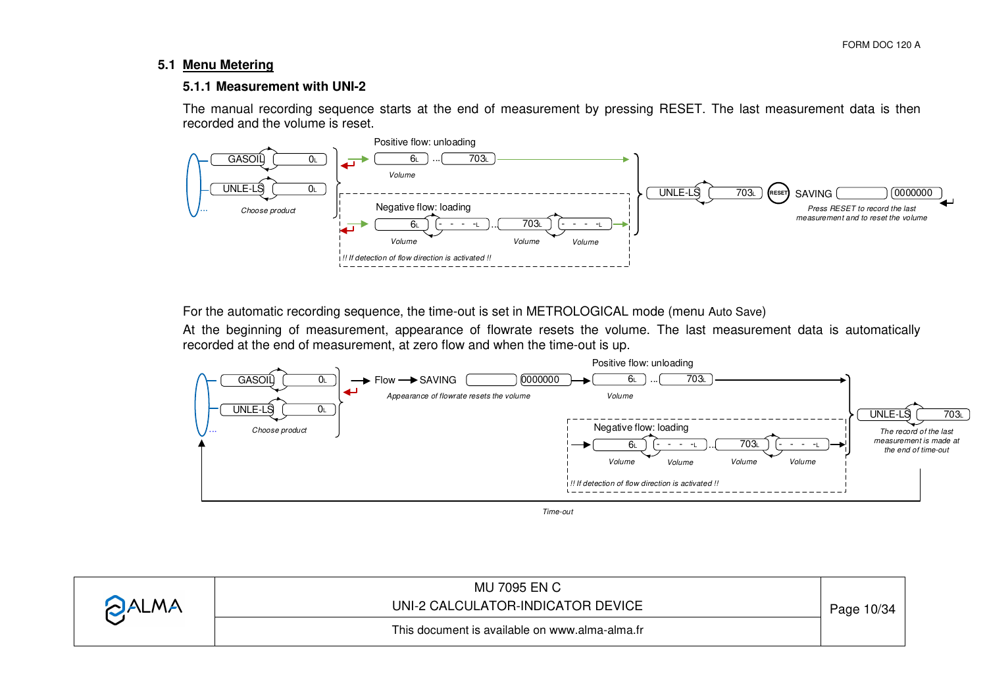#### **5.1 Menu Metering**

#### **5.1.1 Measurement with UNI-2**

The manual recording sequence starts at the end of measurement by pressing RESET. The last measurement data is then recorded and the volume is reset.



For the automatic recording sequence, the time-out is set in METROLOGICAL mode (menu Auto Save)

At the beginning of measurement, appearance of flowrate resets the volume. The last measurement data is automatically recorded at the end of measurement, at zero flow and when the time-out is up.



*Time-out*

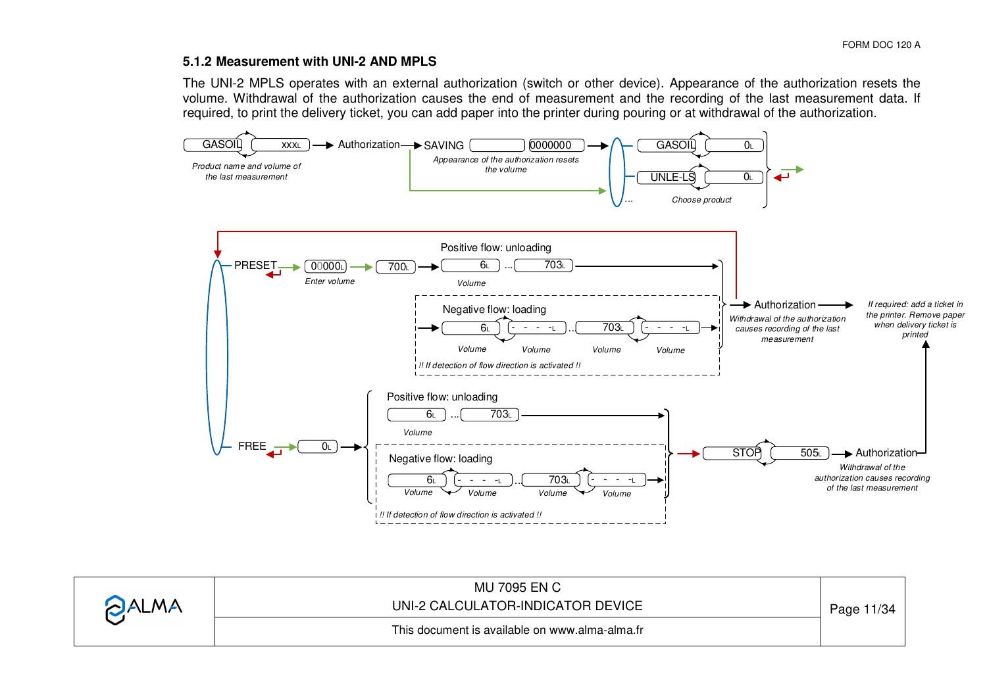#### **5.1.2 Measurement with UNI-2 AND MPLS**

The UNI-2 MPLS operates with an external authorization (switch or other device). Appearance of the authorization resets the volume. Withdrawal of the authorization causes the end of measurement and the recording of the last measurement data. If required, to print the delivery ticket, you can add paper into the printer during pouring or at withdrawal of the authorization.



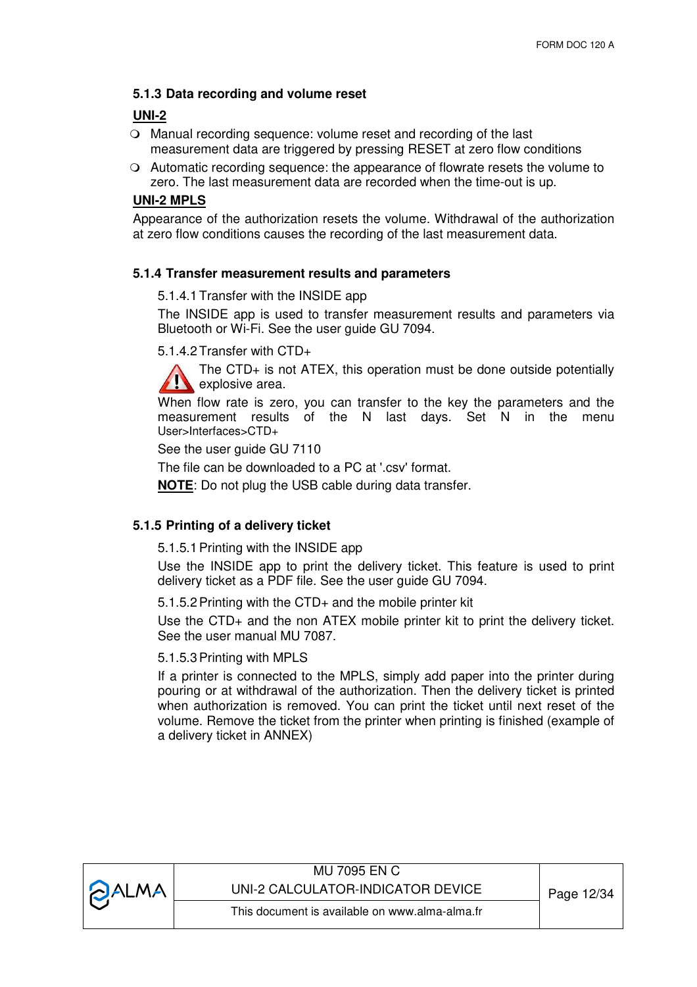#### **5.1.3 Data recording and volume reset**

### **UNI-2**

- Manual recording sequence: volume reset and recording of the last measurement data are triggered by pressing RESET at zero flow conditions
- Automatic recording sequence: the appearance of flowrate resets the volume to zero. The last measurement data are recorded when the time-out is up.

#### **UNI-2 MPLS**

Appearance of the authorization resets the volume. Withdrawal of the authorization at zero flow conditions causes the recording of the last measurement data.

#### **5.1.4 Transfer measurement results and parameters**

5.1.4.1 Transfer with the INSIDE app

The INSIDE app is used to transfer measurement results and parameters via Bluetooth or Wi-Fi. See the user guide GU 7094.

5.1.4.2 Transfer with CTD+

The CTD+ is not ATEX, this operation must be done outside potentially explosive area.

When flow rate is zero, you can transfer to the key the parameters and the measurement results of the N last days. Set N in the menu User>Interfaces>CTD+

See the user guide GU 7110

The file can be downloaded to a PC at '.csv' format.

**NOTE**: Do not plug the USB cable during data transfer.

#### **5.1.5 Printing of a delivery ticket**

5.1.5.1 Printing with the INSIDE app

Use the INSIDE app to print the delivery ticket. This feature is used to print delivery ticket as a PDF file. See the user guide GU 7094.

5.1.5.2 Printing with the CTD+ and the mobile printer kit

Use the CTD+ and the non ATEX mobile printer kit to print the delivery ticket. See the user manual MU 7087.

5.1.5.3 Printing with MPLS

If a printer is connected to the MPLS, simply add paper into the printer during pouring or at withdrawal of the authorization. Then the delivery ticket is printed when authorization is removed. You can print the ticket until next reset of the volume. Remove the ticket from the printer when printing is finished (example of a delivery ticket in ANNEX)

| <b>DALMA</b> | <b>MU 7095 EN C</b><br>UNI-2 CALCULATOR-INDICATOR DEVICE | Page 12/34 |
|--------------|----------------------------------------------------------|------------|
|              | This document is available on www.alma-alma.fr           |            |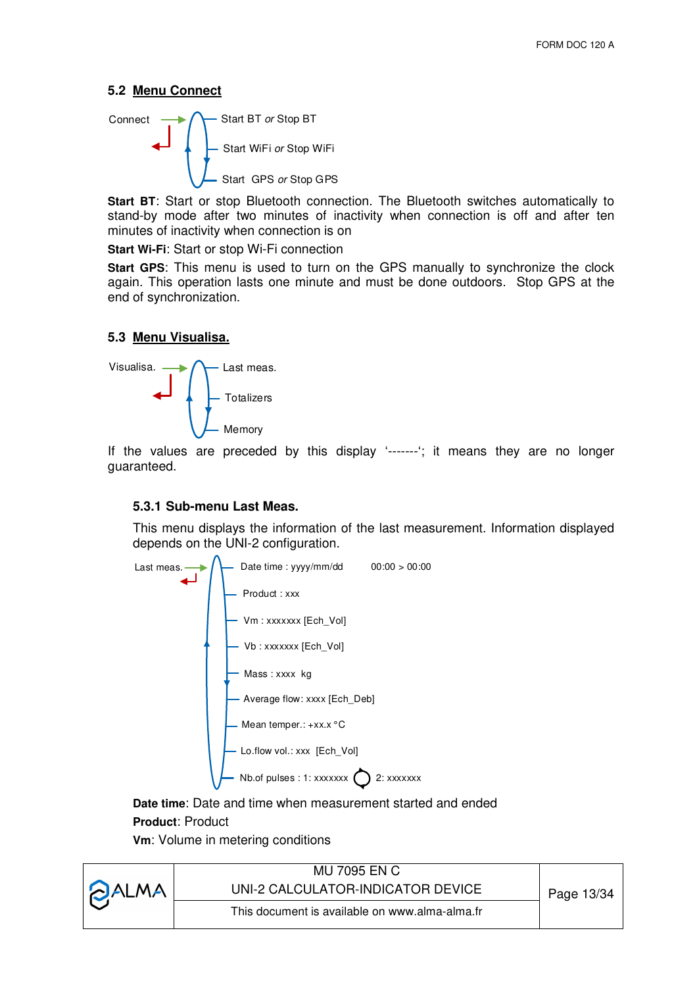#### **5.2 Menu Connect**



**Start BT**: Start or stop Bluetooth connection. The Bluetooth switches automatically to stand-by mode after two minutes of inactivity when connection is off and after ten minutes of inactivity when connection is on

**Start Wi-Fi**: Start or stop Wi-Fi connection

**Start GPS**: This menu is used to turn on the GPS manually to synchronize the clock again. This operation lasts one minute and must be done outdoors. Stop GPS at the end of synchronization.

#### **5.3 Menu Visualisa.**



If the values are preceded by this display '------'; it means they are no longer guaranteed.

#### **5.3.1 Sub-menu Last Meas.**

This menu displays the information of the last measurement. Information displayed depends on the UNI-2 configuration.





**Product**: Product

**Vm**: Volume in metering conditions

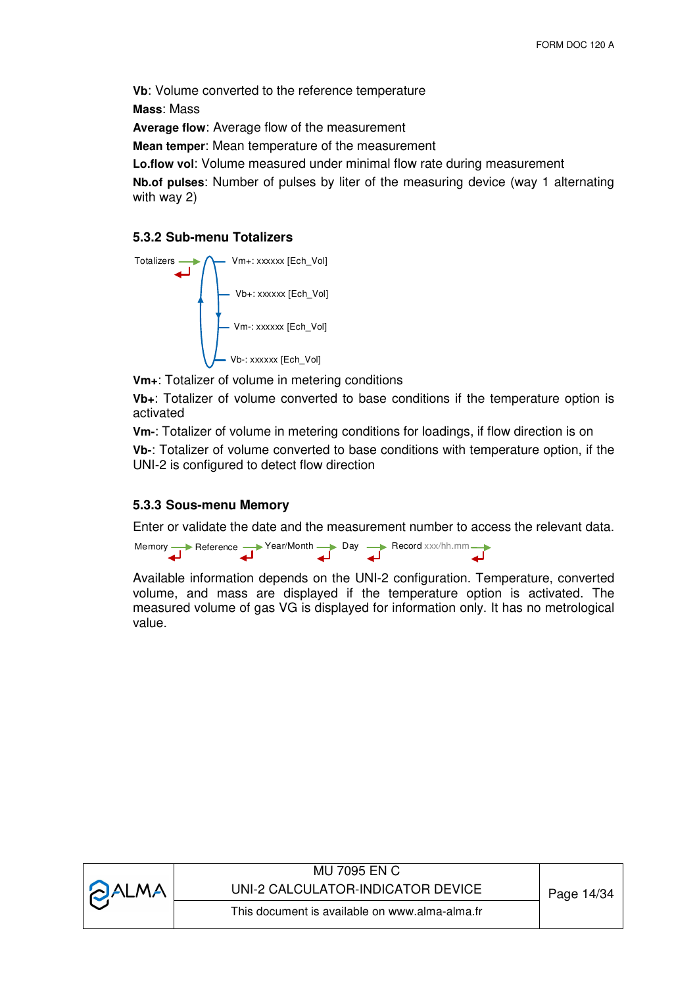**Vb**: Volume converted to the reference temperature

**Mass**: Mass

**Average flow**: Average flow of the measurement

**Mean temper**: Mean temperature of the measurement

**Lo.flow vol**: Volume measured under minimal flow rate during measurement

**Nb.of pulses**: Number of pulses by liter of the measuring device (way 1 alternating with way 2)

#### **5.3.2 Sub-menu Totalizers**



**Vm+**: Totalizer of volume in metering conditions

**Vb+**: Totalizer of volume converted to base conditions if the temperature option is activated

**Vm-**: Totalizer of volume in metering conditions for loadings, if flow direction is on

**Vb-**: Totalizer of volume converted to base conditions with temperature option, if the UNI-2 is configured to detect flow direction

#### **5.3.3 Sous-menu Memory**

Enter or validate the date and the measurement number to access the relevant data.



Available information depends on the UNI-2 configuration. Temperature, converted volume, and mass are displayed if the temperature option is activated. The measured volume of gas VG is displayed for information only. It has no metrological value.

| <b>DALMA</b> | <b>MU 7095 EN C</b><br>UNI-2 CALCULATOR-INDICATOR DEVICE | Page 14/34 |
|--------------|----------------------------------------------------------|------------|
|              | This document is available on www.alma-alma.fr           |            |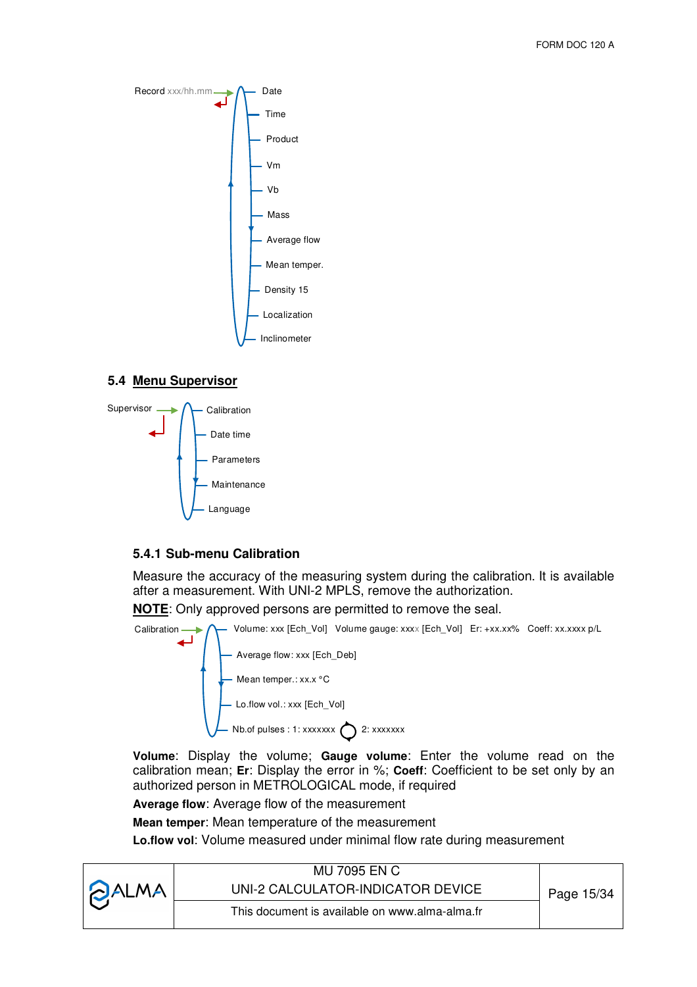

#### **5.4 Menu Supervisor**



#### **5.4.1 Sub-menu Calibration**

Measure the accuracy of the measuring system during the calibration. It is available after a measurement. With UNI-2 MPLS, remove the authorization.

**NOTE**: Only approved persons are permitted to remove the seal.

Calibration Volume: xxx [Ech\_Vol] Volume gauge: xxxx [Ech\_Vol] Er: +xx.xx<sup>%</sup> Coeff: xx.xxxx p/L Average flow: xxx [Ech\_Deb]



**Volume**: Display the volume; **Gauge volume**: Enter the volume read on the calibration mean; **Er**: Display the error in %; **Coeff**: Coefficient to be set only by an authorized person in METROLOGICAL mode, if required

**Average flow**: Average flow of the measurement

**Mean temper**: Mean temperature of the measurement

**Lo.flow vol**: Volume measured under minimal flow rate during measurement

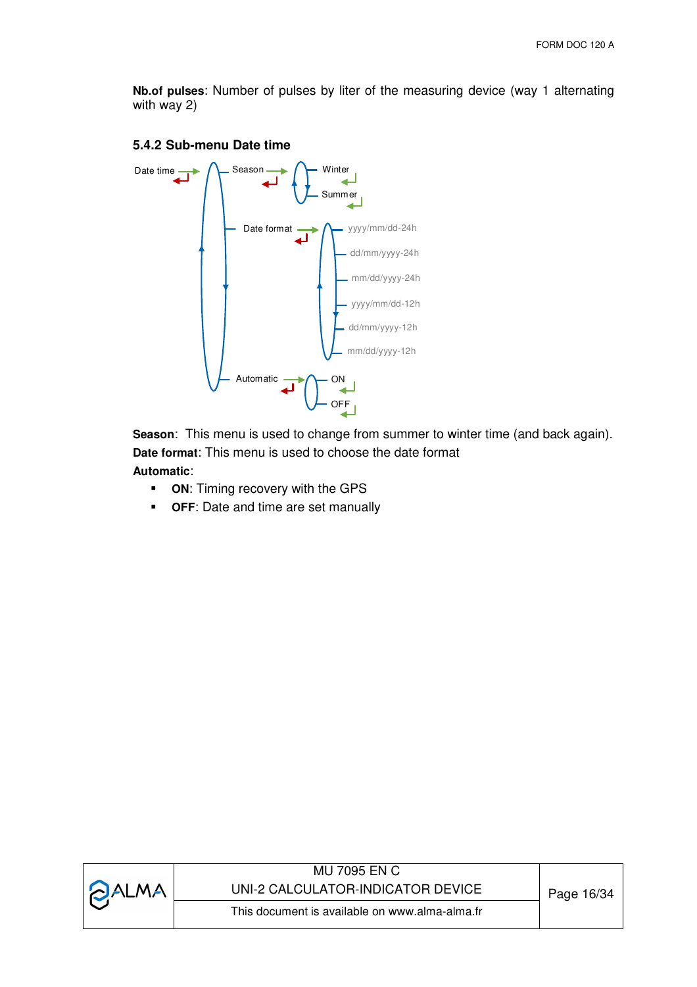**Nb.of pulses**: Number of pulses by liter of the measuring device (way 1 alternating with way 2)





**Season**: This menu is used to change from summer to winter time (and back again). **Date format**: This menu is used to choose the date format **Automatic**:

- **ON:** Timing recovery with the GPS
- **OFF:** Date and time are set manually

| <b>PALMA</b> | MU 7095 EN C<br>UNI-2 CALCULATOR-INDICATOR DEVICE | Page 16/34 |
|--------------|---------------------------------------------------|------------|
|              | This document is available on www.alma-alma.fr    |            |
|              |                                                   |            |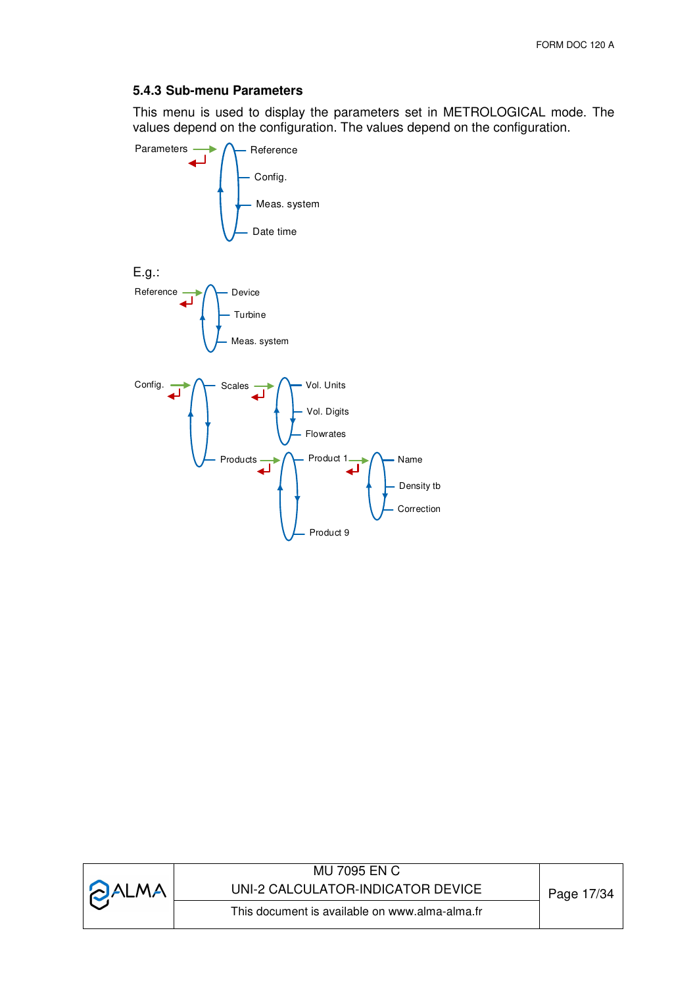#### **5.4.3 Sub-menu Parameters**

This menu is used to display the parameters set in METROLOGICAL mode. The values depend on the configuration. The values depend on the configuration.



| <b>PALMA</b> | MU 7095 EN C<br>UNI-2 CALCULATOR-INDICATOR DEVICE | Page 17/34 |
|--------------|---------------------------------------------------|------------|
|              | This document is available on www.alma-alma.fr    |            |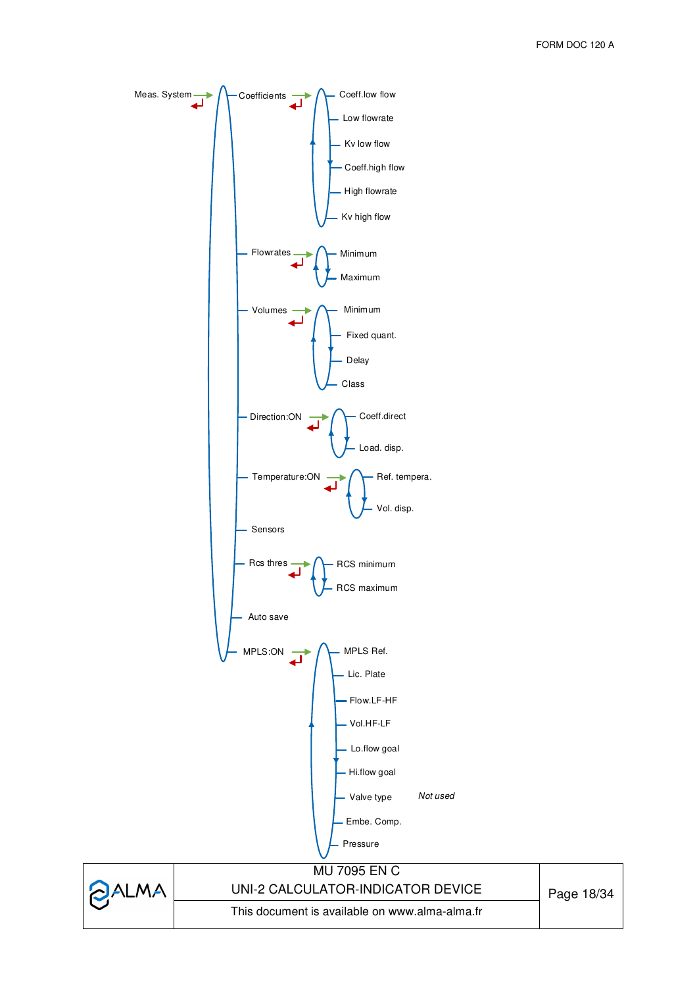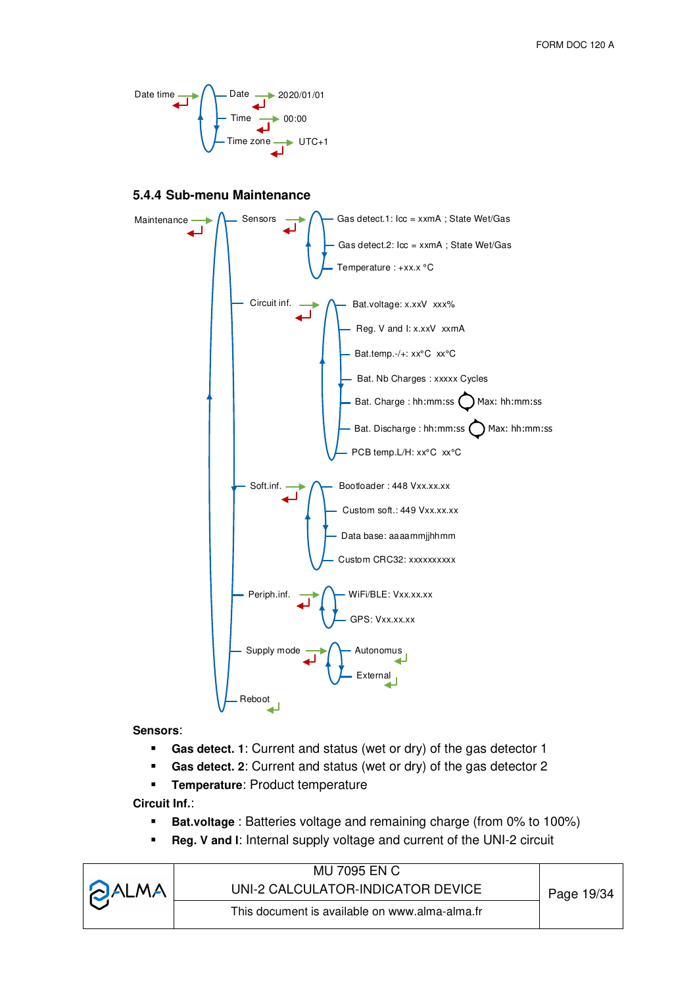

#### **5.4.4 Sub-menu Maintenance**



#### **Sensors**:

- **Gas detect. 1**: Current and status (wet or dry) of the gas detector 1
- **Gas detect. 2**: Current and status (wet or dry) of the gas detector 2
- **Temperature: Product temperature**

**Circuit Inf.**:

- **Bat.voltage** : Batteries voltage and remaining charge (from 0% to 100%)
- **Reg. V and I**: Internal supply voltage and current of the UNI-2 circuit

|              | MU 7095 EN C                                   |            |
|--------------|------------------------------------------------|------------|
| <b>DALMA</b> | UNI-2 CALCULATOR-INDICATOR DEVICE              | Page 19/34 |
|              | This document is available on www.alma-alma.fr |            |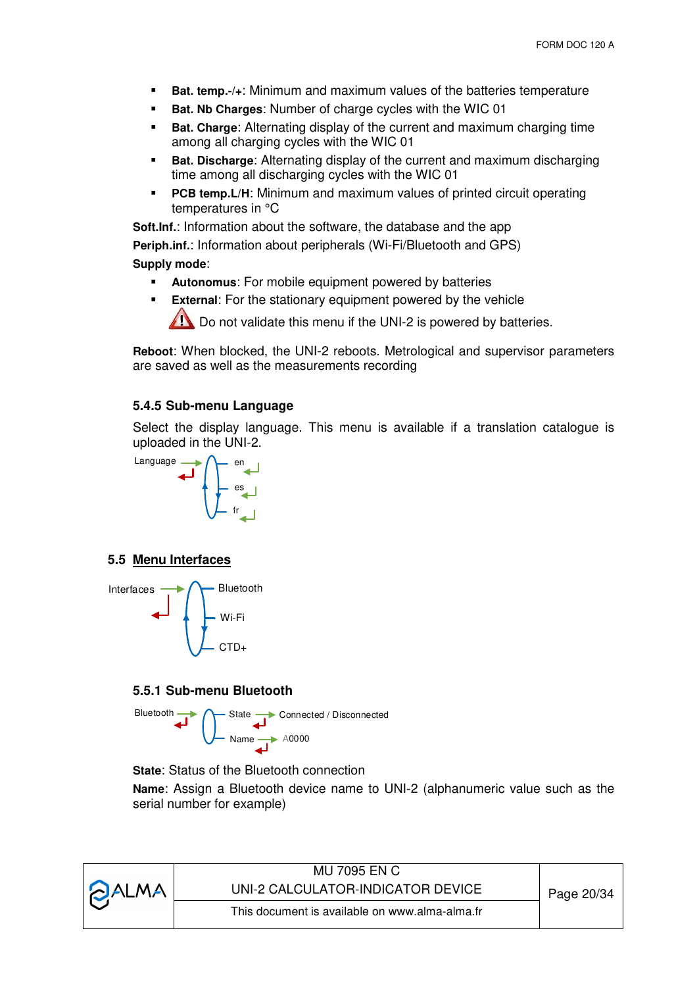- **Bat. temp.-/+**: Minimum and maximum values of the batteries temperature
- **Bat. Nb Charges**: Number of charge cycles with the WIC 01
- **Bat. Charge:** Alternating display of the current and maximum charging time among all charging cycles with the WIC 01
- **Bat. Discharge:** Alternating display of the current and maximum discharging time among all discharging cycles with the WIC 01
- **PCB temp. L/H:** Minimum and maximum values of printed circuit operating temperatures in °C

**Soft.Inf.**: Information about the software, the database and the app

**Periph.inf.**: Information about peripherals (Wi-Fi/Bluetooth and GPS) **Supply mode**:

- **Autonomus**: For mobile equipment powered by batteries
- **External:** For the stationary equipment powered by the vehicle

Do not validate this menu if the UNI-2 is powered by batteries.

**Reboot**: When blocked, the UNI-2 reboots. Metrological and supervisor parameters are saved as well as the measurements recording

#### **5.4.5 Sub-menu Language**

Select the display language. This menu is available if a translation catalogue is uploaded in the UNI-2.



#### **5.5 Menu Interfaces**



#### **5.5.1 Sub-menu Bluetooth**



**State**: Status of the Bluetooth connection

**Name**: Assign a Bluetooth device name to UNI-2 (alphanumeric value such as the serial number for example)

| <b>PALMA</b> | MU 7095 EN C<br>UNI-2 CALCULATOR-INDICATOR DEVICE | Page 20/34 |
|--------------|---------------------------------------------------|------------|
|              | This document is available on www.alma-alma.fr    |            |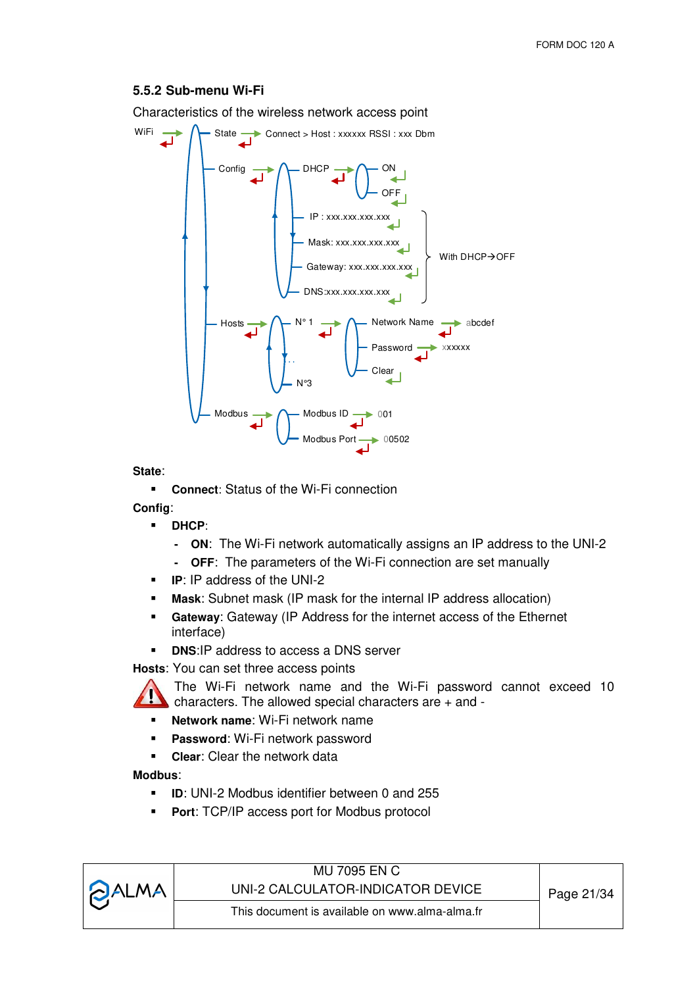#### **5.5.2 Sub-menu Wi-Fi**

Characteristics of the wireless network access point



#### **State**:

**Connect**: Status of the Wi-Fi connection

#### **Config**:

- **DHCP**:
	- **ON**: The Wi-Fi network automatically assigns an IP address to the UNI-2
	- **OFF**: The parameters of the Wi-Fi connection are set manually
- **IP**: IP address of the UNI-2
- **Mask**: Subnet mask (IP mask for the internal IP address allocation)
- **Gateway**: Gateway (IP Address for the internet access of the Ethernet interface)
- **DNS:IP address to access a DNS server**

**Hosts**: You can set three access points

The Wi-Fi network name and the Wi-Fi password cannot exceed 10 characters. The allowed special characters are + and -

- **Network name**: Wi-Fi network name
- **Password**: Wi-Fi network password
- **Clear:** Clear the network data

#### **Modbus**:

- **ID**: UNI-2 Modbus identifier between 0 and 255
- **Port**: TCP/IP access port for Modbus protocol

**PALMA** 

## MU 7095 EN C UNI-2 CALCULATOR-INDICATOR DEVICE Page 21/34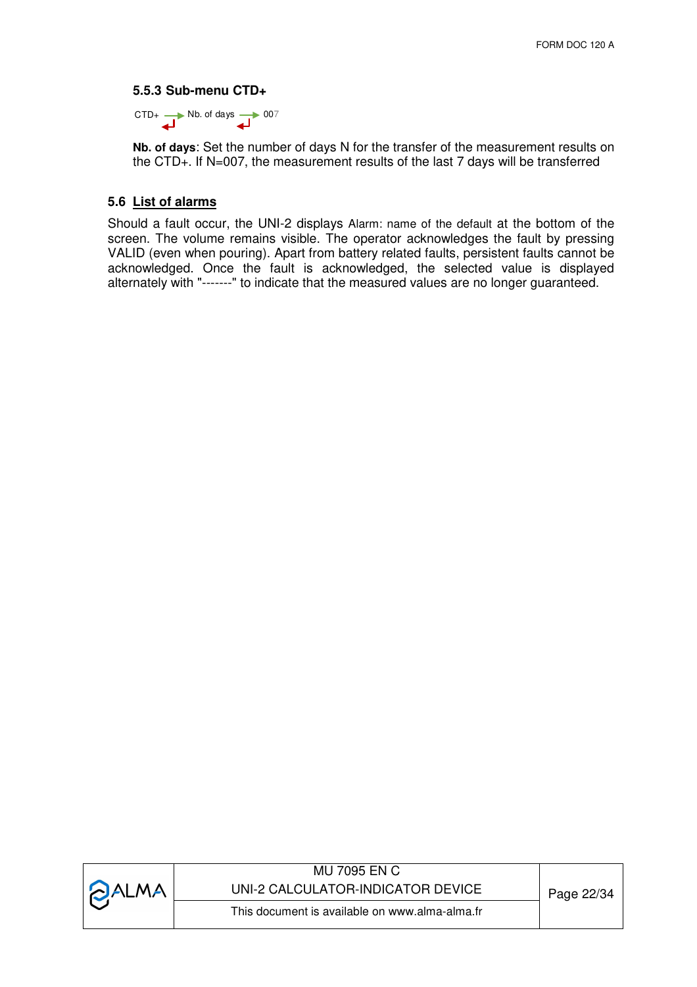#### **5.5.3 Sub-menu CTD+**

 $CTD + \longrightarrow$  Nb. of days  $\longrightarrow 007$ 

**Nb. of days**: Set the number of days N for the transfer of the measurement results on the CTD+. If N=007, the measurement results of the last 7 days will be transferred

#### **5.6 List of alarms**

Should a fault occur, the UNI-2 displays Alarm: name of the default at the bottom of the screen. The volume remains visible. The operator acknowledges the fault by pressing VALID (even when pouring). Apart from battery related faults, persistent faults cannot be acknowledged. Once the fault is acknowledged, the selected value is displayed alternately with "-------" to indicate that the measured values are no longer guaranteed.

| <b>PALMA</b> | MU 7095 EN C<br>UNI-2 CALCULATOR-INDICATOR DEVICE | Page 22/34 |
|--------------|---------------------------------------------------|------------|
|              | This document is available on www.alma-alma.fr    |            |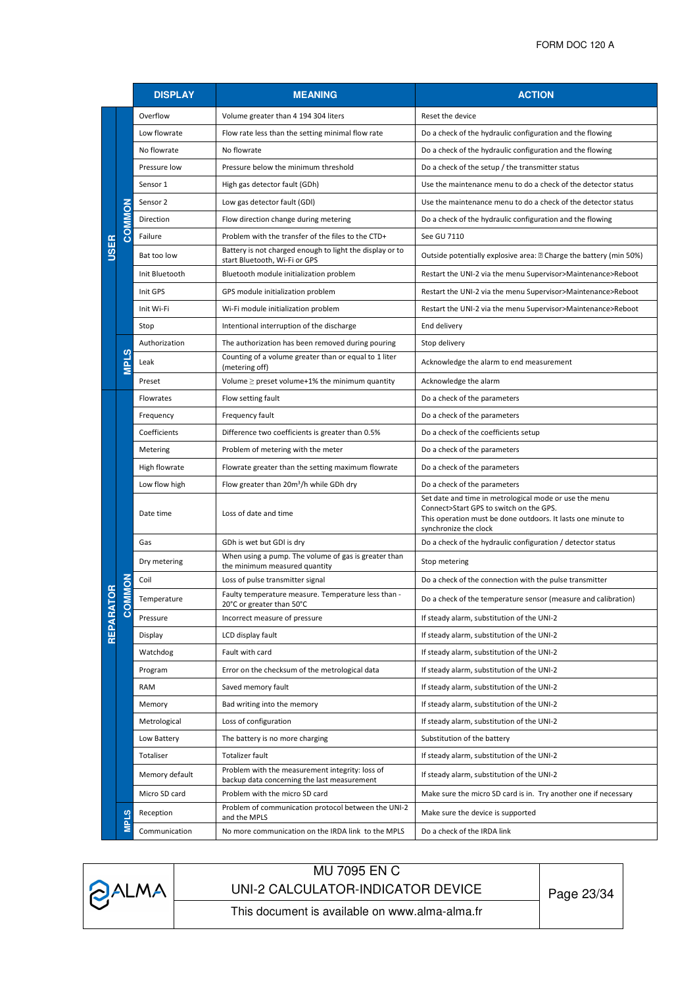|              |              | <b>DISPLAY</b> | <b>MEANING</b>                                                                                 | <b>ACTION</b>                                                                                                                                                                              |
|--------------|--------------|----------------|------------------------------------------------------------------------------------------------|--------------------------------------------------------------------------------------------------------------------------------------------------------------------------------------------|
|              |              | Overflow       | Volume greater than 4 194 304 liters                                                           | Reset the device                                                                                                                                                                           |
|              |              | Low flowrate   | Flow rate less than the setting minimal flow rate                                              | Do a check of the hydraulic configuration and the flowing                                                                                                                                  |
|              |              | No flowrate    | No flowrate                                                                                    | Do a check of the hydraulic configuration and the flowing                                                                                                                                  |
|              |              | Pressure low   | Pressure below the minimum threshold                                                           | Do a check of the setup / the transmitter status                                                                                                                                           |
|              |              | Sensor 1       | High gas detector fault (GDh)                                                                  | Use the maintenance menu to do a check of the detector status                                                                                                                              |
|              |              | Sensor 2       | Low gas detector fault (GDI)                                                                   | Use the maintenance menu to do a check of the detector status                                                                                                                              |
|              | COMMON       | Direction      | Flow direction change during metering                                                          | Do a check of the hydraulic configuration and the flowing                                                                                                                                  |
|              |              | Failure        | Problem with the transfer of the files to the CTD+                                             | See GU 7110                                                                                                                                                                                |
| <b>USER</b>  |              | Bat too low    | Battery is not charged enough to light the display or to<br>start Bluetooth, Wi-Fi or GPS      | Outside potentially explosive area: 2 Charge the battery (min 50%)                                                                                                                         |
|              |              | Init Bluetooth | Bluetooth module initialization problem                                                        | Restart the UNI-2 via the menu Supervisor>Maintenance>Reboot                                                                                                                               |
|              |              | Init GPS       | GPS module initialization problem                                                              | Restart the UNI-2 via the menu Supervisor>Maintenance>Reboot                                                                                                                               |
|              |              | Init Wi-Fi     | Wi-Fi module initialization problem                                                            | Restart the UNI-2 via the menu Supervisor>Maintenance>Reboot                                                                                                                               |
|              |              | Stop           | Intentional interruption of the discharge                                                      | End delivery                                                                                                                                                                               |
|              |              | Authorization  | The authorization has been removed during pouring                                              | Stop delivery                                                                                                                                                                              |
|              | <u>den</u>   | Leak           | Counting of a volume greater than or equal to 1 liter<br>(metering off)                        | Acknowledge the alarm to end measurement                                                                                                                                                   |
|              |              | Preset         | Volume $\ge$ preset volume+1% the minimum quantity                                             | Acknowledge the alarm                                                                                                                                                                      |
|              |              | Flowrates      | Flow setting fault                                                                             | Do a check of the parameters                                                                                                                                                               |
|              |              | Frequency      | Frequency fault                                                                                | Do a check of the parameters                                                                                                                                                               |
|              |              | Coefficients   | Difference two coefficients is greater than 0.5%                                               | Do a check of the coefficients setup                                                                                                                                                       |
|              |              | Metering       | Problem of metering with the meter                                                             | Do a check of the parameters                                                                                                                                                               |
|              |              | High flowrate  | Flowrate greater than the setting maximum flowrate                                             | Do a check of the parameters                                                                                                                                                               |
|              |              | Low flow high  | Flow greater than 20m <sup>3</sup> /h while GDh dry                                            | Do a check of the parameters                                                                                                                                                               |
|              |              | Date time      | Loss of date and time                                                                          | Set date and time in metrological mode or use the menu<br>Connect>Start GPS to switch on the GPS.<br>This operation must be done outdoors. It lasts one minute to<br>synchronize the clock |
|              |              | Gas            | GDh is wet but GDI is dry                                                                      | Do a check of the hydraulic configuration / detector status                                                                                                                                |
|              |              | Dry metering   | When using a pump. The volume of gas is greater than<br>the minimum measured quantity          | Stop metering                                                                                                                                                                              |
|              | NOMM         | Coil           | Loss of pulse transmitter signal                                                               | Do a check of the connection with the pulse transmitter                                                                                                                                    |
| TOR          |              | Temperature    | Faulty temperature measure. Temperature less than -<br>20°C or greater than 50°C               | Do a check of the temperature sensor (measure and calibration)                                                                                                                             |
| <b>REPAR</b> | ŏ            | Pressure       | Incorrect measure of pressure                                                                  | If steady alarm, substitution of the UNI-2                                                                                                                                                 |
|              |              | Display        | LCD display fault                                                                              | If steady alarm, substitution of the UNI-2                                                                                                                                                 |
|              |              | Watchdog       | Fault with card                                                                                | If steady alarm, substitution of the UNI-2                                                                                                                                                 |
|              |              | Program        | Error on the checksum of the metrological data                                                 | If steady alarm, substitution of the UNI-2                                                                                                                                                 |
|              |              | <b>RAM</b>     | Saved memory fault                                                                             | If steady alarm, substitution of the UNI-2                                                                                                                                                 |
|              |              | Memory         | Bad writing into the memory                                                                    | If steady alarm, substitution of the UNI-2                                                                                                                                                 |
|              |              | Metrological   | Loss of configuration                                                                          | If steady alarm, substitution of the UNI-2                                                                                                                                                 |
|              |              | Low Battery    | The battery is no more charging                                                                | Substitution of the battery                                                                                                                                                                |
|              |              | Totaliser      | <b>Totalizer fault</b>                                                                         | If steady alarm, substitution of the UNI-2                                                                                                                                                 |
|              |              | Memory default | Problem with the measurement integrity: loss of<br>backup data concerning the last measurement | If steady alarm, substitution of the UNI-2                                                                                                                                                 |
|              |              | Micro SD card  | Problem with the micro SD card                                                                 | Make sure the micro SD card is in. Try another one if necessary                                                                                                                            |
|              | <b>NIPLS</b> | Reception      | Problem of communication protocol between the UNI-2<br>and the MPLS                            | Make sure the device is supported                                                                                                                                                          |
|              |              | Communication  | No more communication on the IRDA link to the MPLS                                             | Do a check of the IRDA link                                                                                                                                                                |



# MU 7095 EN C UNI-2 CALCULATOR-INDICATOR DEVICE Page 23/34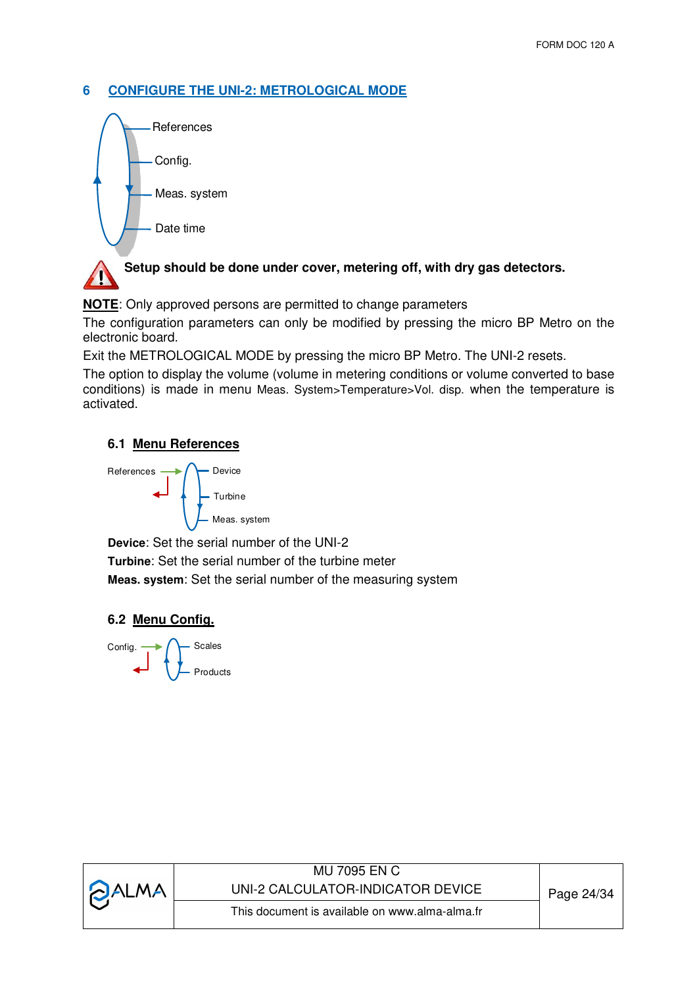## **6 CONFIGURE THE UNI-2: METROLOGICAL MODE**



# **Setup should be done under cover, metering off, with dry gas detectors.**

**NOTE**: Only approved persons are permitted to change parameters

The configuration parameters can only be modified by pressing the micro BP Metro on the electronic board.

Exit the METROLOGICAL MODE by pressing the micro BP Metro. The UNI-2 resets.

The option to display the volume (volume in metering conditions or volume converted to base conditions) is made in menu Meas. System>Temperature>Vol. disp. when the temperature is activated.

## **6.1 Menu References**



**Device**: Set the serial number of the UNI-2 **Turbine**: Set the serial number of the turbine meter **Meas. system**: Set the serial number of the measuring system

## **6.2 Menu Config.**



| <b>DALMA</b> | MU 7095 EN C<br>UNI-2 CALCULATOR-INDICATOR DEVICE | Page 24/34 |
|--------------|---------------------------------------------------|------------|
|              | This document is available on www.alma-alma.fr    |            |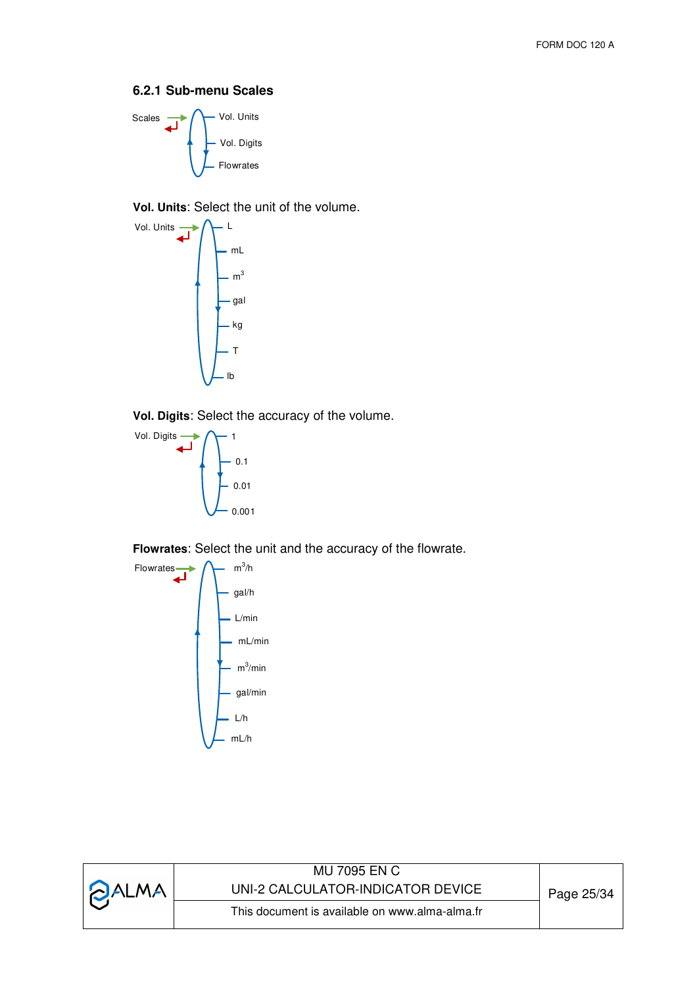#### **6.2.1 Sub-menu Scales**



**Vol. Units**: Select the unit of the volume.



**Vol. Digits**: Select the accuracy of the volume.



**Flowrates**: Select the unit and the accuracy of the flowrate.



|              | MU 7095 EN C                                   |            |
|--------------|------------------------------------------------|------------|
| <b>DALMA</b> | UNI-2 CALCULATOR-INDICATOR DEVICE              | Page 25/34 |
|              | This document is available on www.alma-alma.fr |            |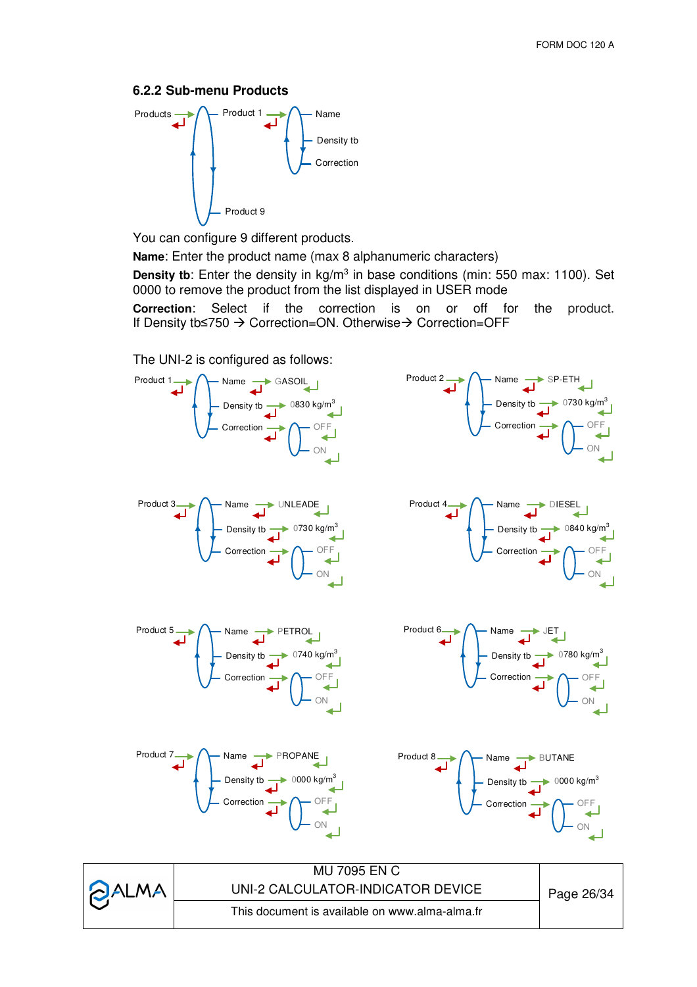#### **6.2.2 Sub-menu Products**



You can configure 9 different products.

**Name**: Enter the product name (max 8 alphanumeric characters)

**Density tb**: Enter the density in kg/m<sup>3</sup> in base conditions (min: 550 max: 1100). Set 0000 to remove the product from the list displayed in USER mode

**Correction**: Select if the correction is on or off for the product. If Density tb≤750  $\rightarrow$  Correction=ON. Otherwise $\rightarrow$  Correction=OFF

The UNI-2 is configured as follows:



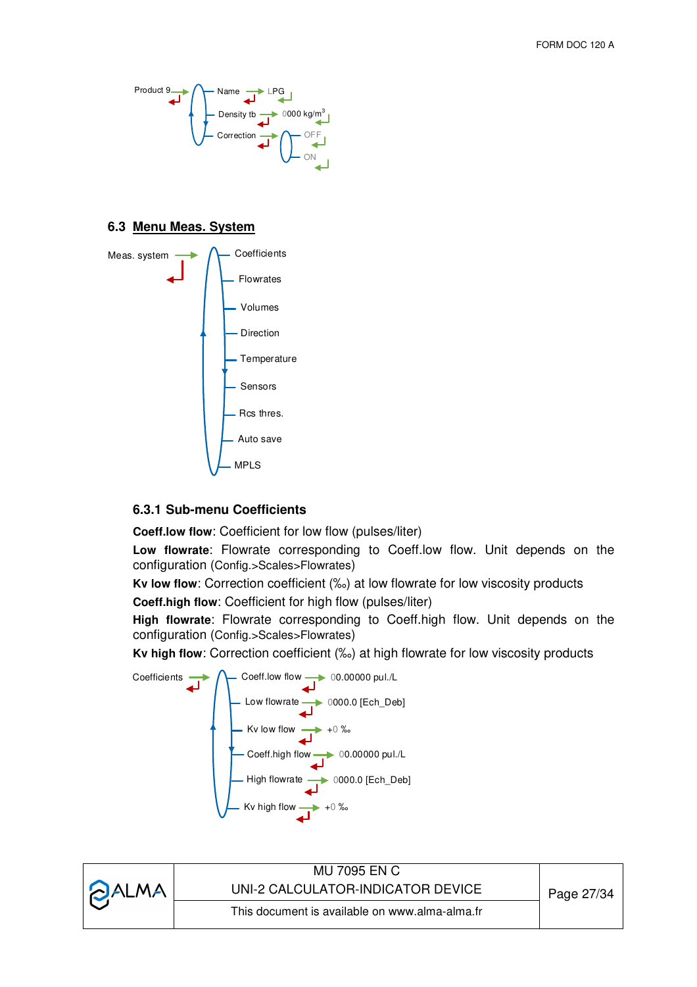

#### **6.3 Menu Meas. System**



#### **6.3.1 Sub-menu Coefficients**

**Coeff.low flow**: Coefficient for low flow (pulses/liter)

**Low flowrate**: Flowrate corresponding to Coeff.low flow. Unit depends on the configuration (Config.>Scales>Flowrates)

**Kv low flow**: Correction coefficient (‰) at low flowrate for low viscosity products **Coeff.high flow**: Coefficient for high flow (pulses/liter)

**High flowrate**: Flowrate corresponding to Coeff.high flow. Unit depends on the configuration (Config.>Scales>Flowrates)

**Kv high flow**: Correction coefficient (‰) at high flowrate for low viscosity products



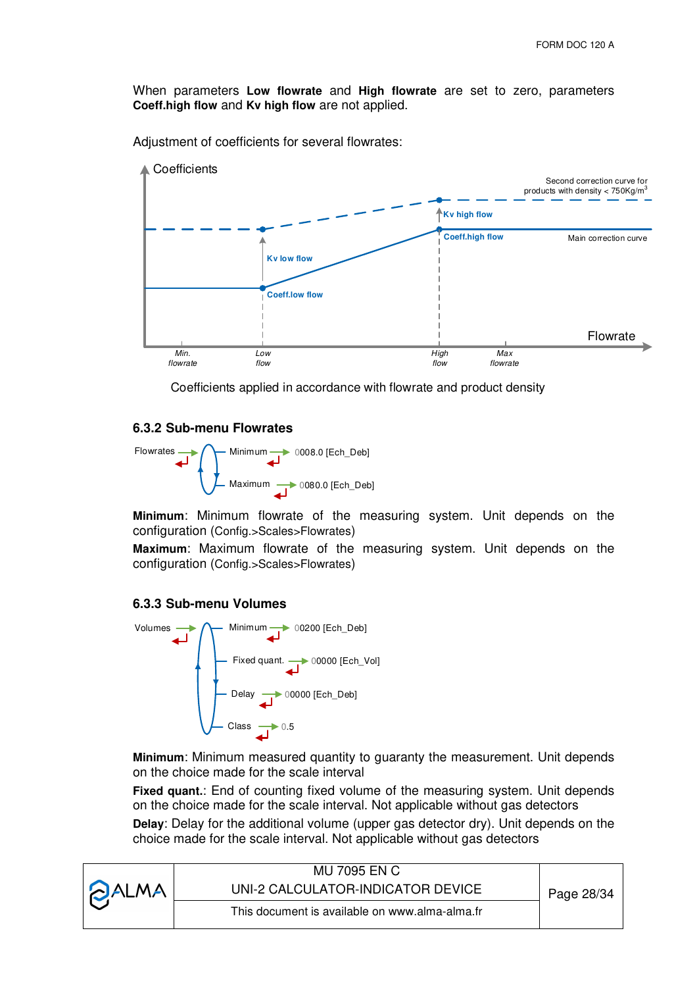When parameters **Low flowrate** and **High flowrate** are set to zero, parameters **Coeff.high flow** and **Kv high flow** are not applied.

Adjustment of coefficients for several flowrates:



Coefficients applied in accordance with flowrate and product density

#### **6.3.2 Sub-menu Flowrates**



**Minimum**: Minimum flowrate of the measuring system. Unit depends on the configuration (Config.>Scales>Flowrates)

**Maximum**: Maximum flowrate of the measuring system. Unit depends on the configuration (Config.>Scales>Flowrates)

#### **6.3.3 Sub-menu Volumes**



**Minimum**: Minimum measured quantity to guaranty the measurement. Unit depends on the choice made for the scale interval

**Fixed quant.**: End of counting fixed volume of the measuring system. Unit depends on the choice made for the scale interval. Not applicable without gas detectors

**Delay**: Delay for the additional volume (upper gas detector dry). Unit depends on the choice made for the scale interval. Not applicable without gas detectors

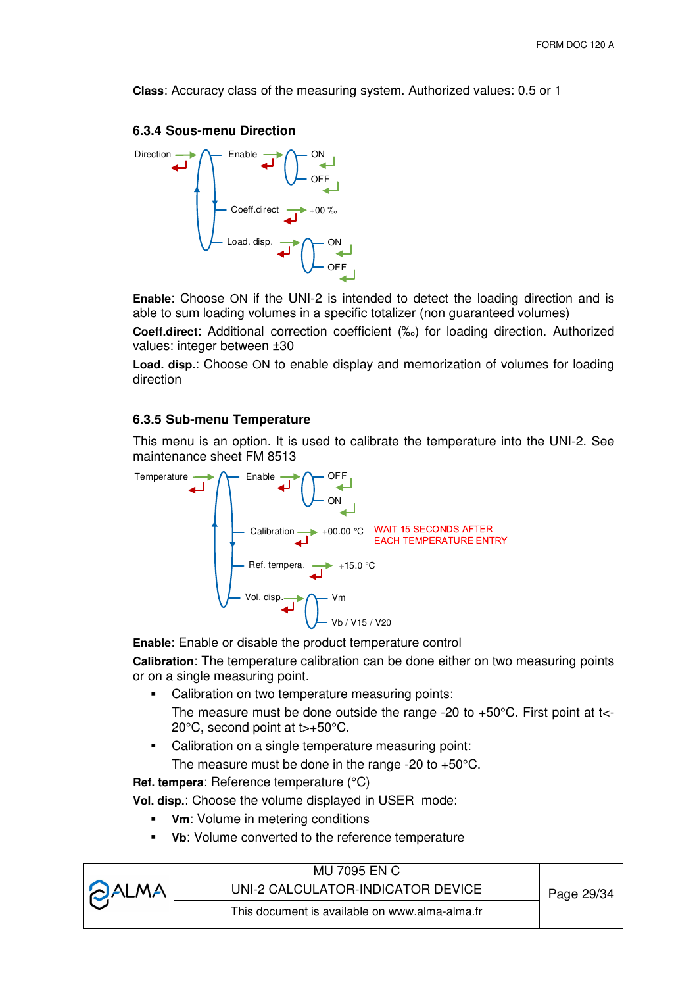**Class**: Accuracy class of the measuring system. Authorized values: 0.5 or 1

#### **6.3.4 Sous-menu Direction**



**Enable**: Choose ON if the UNI-2 is intended to detect the loading direction and is able to sum loading volumes in a specific totalizer (non guaranteed volumes)

**Coeff.direct**: Additional correction coefficient (‰) for loading direction. Authorized values: integer between ±30

**Load. disp.**: Choose ON to enable display and memorization of volumes for loading direction

#### **6.3.5 Sub-menu Temperature**

This menu is an option. It is used to calibrate the temperature into the UNI-2. See maintenance sheet FM 8513



**Enable**: Enable or disable the product temperature control

**Calibration**: The temperature calibration can be done either on two measuring points or on a single measuring point.

- Calibration on two temperature measuring points: The measure must be done outside the range -20 to +50°C. First point at t<- 20°C, second point at t>+50°C.
- Calibration on a single temperature measuring point: The measure must be done in the range  $-20$  to  $+50^{\circ}$ C.

**Ref. tempera**: Reference temperature (°C)

**Vol. disp.**: Choose the volume displayed in USER mode:

- **Vm: Volume in metering conditions**
- **Vb**: Volume converted to the reference temperature

|              | MU 7095 EN C                                   |            |
|--------------|------------------------------------------------|------------|
| <b>DALMA</b> | UNI-2 CALCULATOR-INDICATOR DEVICE              | Page 29/34 |
|              | This document is available on www.alma-alma.fr |            |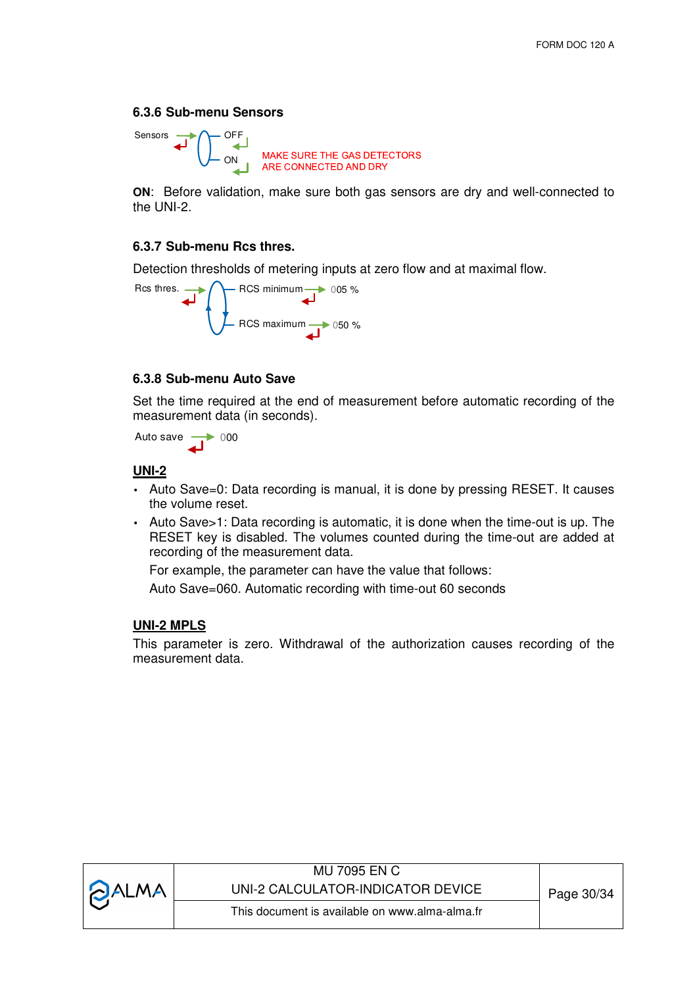#### **6.3.6 Sub-menu Sensors**



**ON**: Before validation, make sure both gas sensors are dry and well-connected to the UNI-2.

#### **6.3.7 Sub-menu Rcs thres.**

Detection thresholds of metering inputs at zero flow and at maximal flow.



#### **6.3.8 Sub-menu Auto Save**

Set the time required at the end of measurement before automatic recording of the measurement data (in seconds).

Auto save  $\overrightarrow{1}$  000

#### **UNI-2**

- Auto Save=0: Data recording is manual, it is done by pressing RESET. It causes the volume reset.
- Auto Save>1: Data recording is automatic, it is done when the time-out is up. The RESET key is disabled. The volumes counted during the time-out are added at recording of the measurement data.

For example, the parameter can have the value that follows:

Auto Save=060. Automatic recording with time-out 60 seconds

#### **UNI-2 MPLS**

This parameter is zero. Withdrawal of the authorization causes recording of the measurement data.

| This document is available on www.alma-alma.fr | <b>PALMA</b> | MU 7095 EN C<br>UNI-2 CALCULATOR-INDICATOR DEVICE. | Page 30/34 |
|------------------------------------------------|--------------|----------------------------------------------------|------------|
|                                                |              |                                                    |            |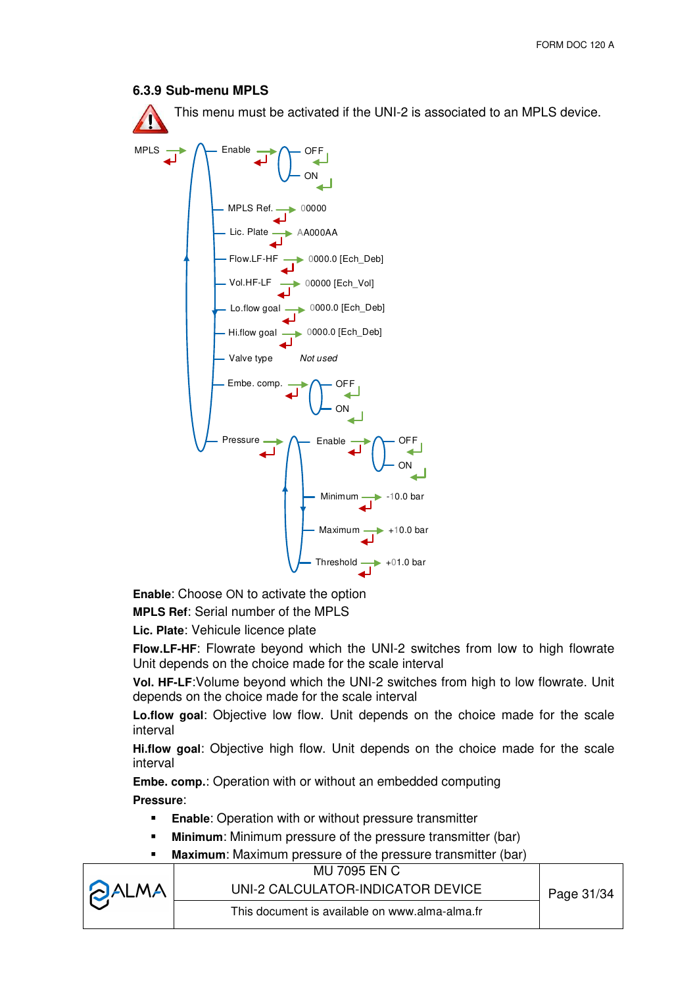#### **6.3.9 Sub-menu MPLS**

This menu must be activated if the UNI-2 is associated to an MPLS device.

MPLS Enable OFF  $\overline{\Box}$  $\overline{\phantom{a}}$ ON MPLS Ref. 00000 Lic. Plate . AA000AA Flow.LF-HF 0000.0 [Ech\_Deb] Vol.HF-LF 00000 [Ech\_Vol] 0000.0 [Ech\_Deb] Lo.flow goal Hi.flow goal 0000.0 [Ech\_Deb] Valve type *Not used* Embe. comp. **OFF ON** Pressure Enable OFF  $\overline{\phantom{a}}$ ON Minimum -10.0 bar Maximum  $+10.0$  bar Threshold +01.0 bar

**Enable**: Choose ON to activate the option

**MPLS Ref**: Serial number of the MPLS

**Lic. Plate**: Vehicule licence plate

**Flow.LF-HF**: Flowrate beyond which the UNI-2 switches from low to high flowrate Unit depends on the choice made for the scale interval

**Vol. HF-LF**:Volume beyond which the UNI-2 switches from high to low flowrate. Unit depends on the choice made for the scale interval

**Lo.flow goal**: Objective low flow. Unit depends on the choice made for the scale interval

**Hi.flow goal**: Objective high flow. Unit depends on the choice made for the scale interval

**Embe. comp.**: Operation with or without an embedded computing **Pressure**:

- **Enable:** Operation with or without pressure transmitter
- **Minimum:** Minimum pressure of the pressure transmitter (bar)
- **Maximum:** Maximum pressure of the pressure transmitter (bar)

| <b>PALMA</b> | <b>MU 7095 EN C</b><br>UNI-2 CALCULATOR-INDICATOR DEVICE | Page 31/34 |
|--------------|----------------------------------------------------------|------------|
|              | This document is available on www.alma-alma.fr           |            |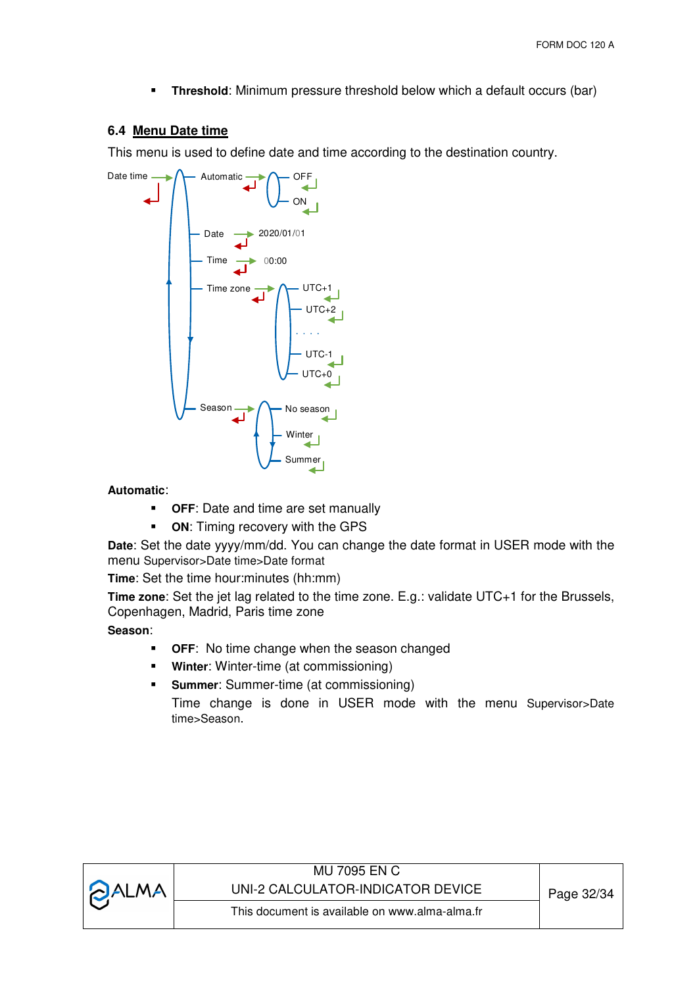**Threshold:** Minimum pressure threshold below which a default occurs (bar)

## **6.4 Menu Date time**

This menu is used to define date and time according to the destination country.



#### **Automatic**:

- **OFF:** Date and time are set manually
- **ON:** Timing recovery with the GPS

**Date**: Set the date yyyy/mm/dd. You can change the date format in USER mode with the menu Supervisor>Date time>Date format

**Time**: Set the time hour:minutes (hh:mm)

**Time zone**: Set the jet lag related to the time zone. E.g.: validate UTC+1 for the Brussels, Copenhagen, Madrid, Paris time zone

**Season**:

- **OFF:** No time change when the season changed
- **Winter**: Winter-time (at commissioning)
- **Summer:** Summer-time (at commissioning) Time change is done in USER mode with the menu Supervisor>Date time>Season.

| <b>PALMA</b> | MU 7095 EN C<br>UNI-2 CALCULATOR-INDICATOR DEVICE | Page 32/34 |
|--------------|---------------------------------------------------|------------|
|              | This document is available on www.alma-alma.fr    |            |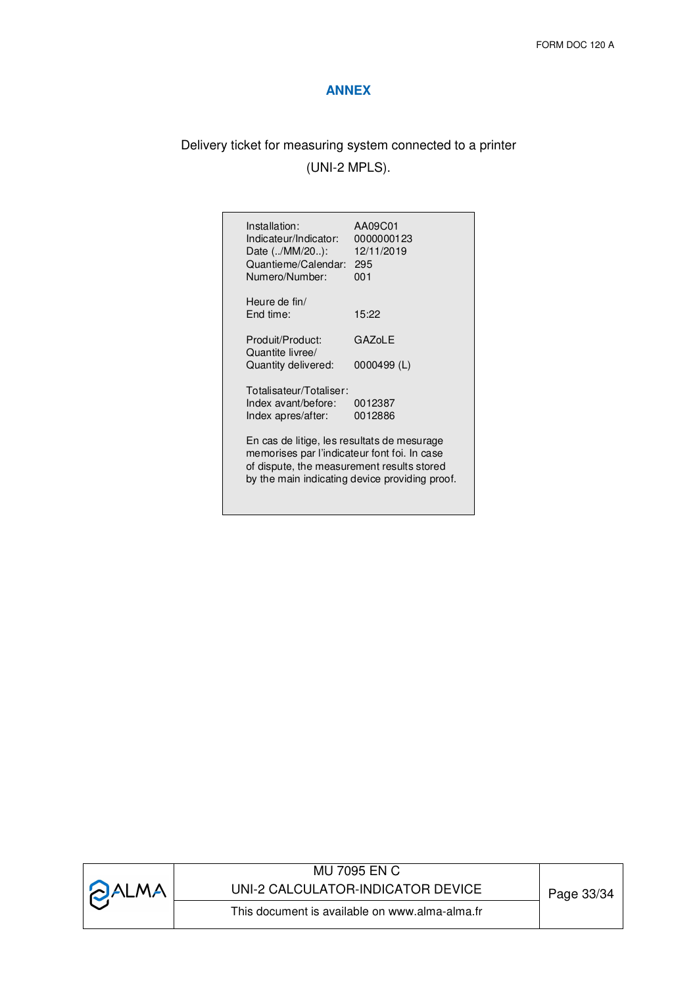### **ANNEX**

# Delivery ticket for measuring system connected to a printer (UNI-2 MPLS).

| Installation:<br>Indicateur/Indicator:<br>Date (/MM/20):<br>Quantieme/Calendar:<br>Numero/Number:                                         | AA09C01<br>0000000123<br>12/11/2019<br>295<br>001 |
|-------------------------------------------------------------------------------------------------------------------------------------------|---------------------------------------------------|
| Heure de fin/<br>End time:                                                                                                                | 15:22                                             |
| Produit/Product:<br>Quantite livree/<br>Quantity delivered:                                                                               | GAZoLE<br>0000499 (L)                             |
| Totalisateur/Totaliser:<br>Index avant/before:<br>Index apres/after:                                                                      | 0012387<br>0012886                                |
| En cas de litige, les resultats de mesurage<br>memorises par l'indicateur font foi. In case<br>of dispute, the measurement results stored | by the main indicating device providing proof.    |
|                                                                                                                                           |                                                   |

| <b>PALMA</b> | MU 7095 EN C<br>UNI-2 CALCULATOR-INDICATOR DEVICE | Page 33/34 |
|--------------|---------------------------------------------------|------------|
|              | This document is available on www.alma-alma.fr    |            |